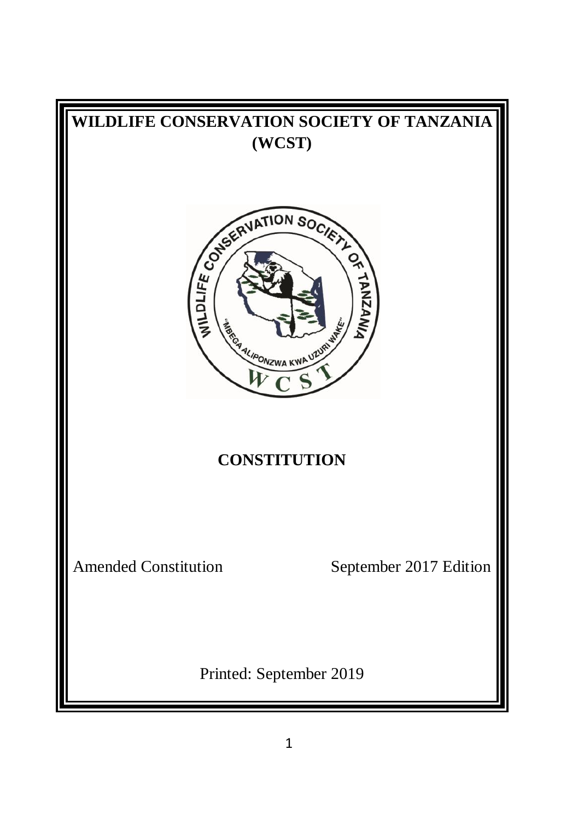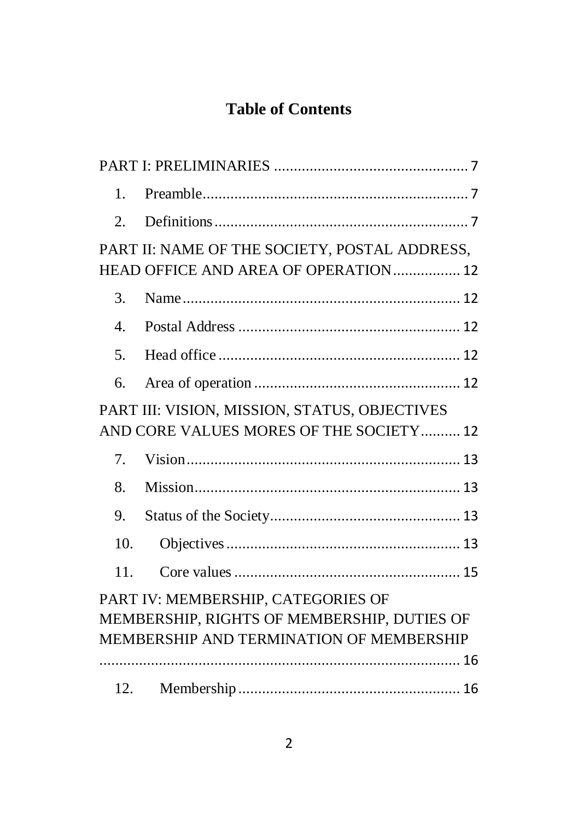# **Table of Contents**

| 1.                                          |                                               |  |
|---------------------------------------------|-----------------------------------------------|--|
| 2.                                          |                                               |  |
|                                             | PART II: NAME OF THE SOCIETY, POSTAL ADDRESS, |  |
|                                             | HEAD OFFICE AND AREA OF OPERATION 12          |  |
| 3.                                          |                                               |  |
| $\overline{4}$ .                            |                                               |  |
| 5.                                          |                                               |  |
| 6.                                          |                                               |  |
|                                             | PART III: VISION, MISSION, STATUS, OBJECTIVES |  |
|                                             | AND CORE VALUES MORES OF THE SOCIETY 12       |  |
| $7_{\scriptscriptstyle{\ddot{\text{c}}}}$   |                                               |  |
| 8.                                          |                                               |  |
| 9.                                          |                                               |  |
| 10.                                         |                                               |  |
| 11.                                         |                                               |  |
|                                             | PART IV: MEMBERSHIP, CATEGORIES OF            |  |
| MEMBERSHIP, RIGHTS OF MEMBERSHIP, DUTIES OF |                                               |  |
|                                             | MEMBERSHIP AND TERMINATION OF MEMBERSHIP      |  |
|                                             |                                               |  |
|                                             |                                               |  |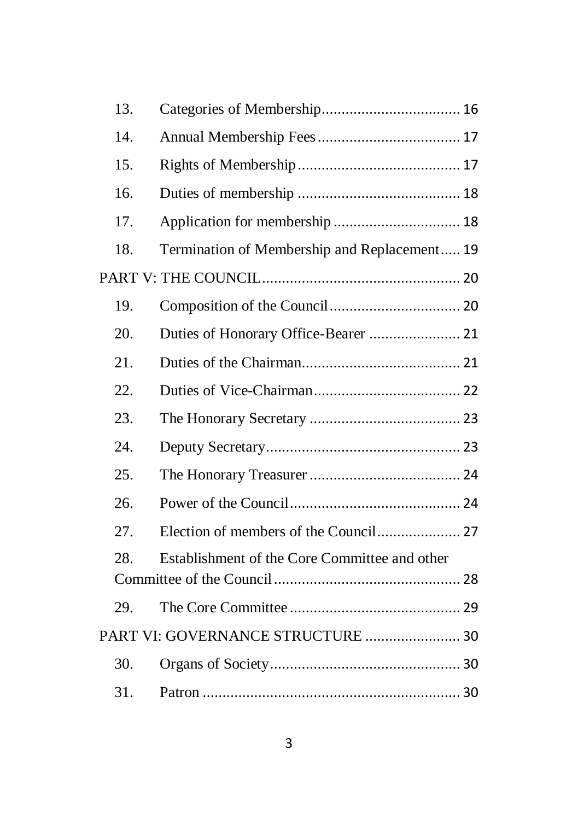| 13. |                                               |  |
|-----|-----------------------------------------------|--|
| 14. |                                               |  |
| 15. |                                               |  |
| 16. |                                               |  |
| 17. |                                               |  |
| 18. | Termination of Membership and Replacement 19  |  |
|     |                                               |  |
| 19. |                                               |  |
| 20. | Duties of Honorary Office-Bearer  21          |  |
| 21. |                                               |  |
| 22. |                                               |  |
| 23. |                                               |  |
| 24. |                                               |  |
| 25. |                                               |  |
| 26. |                                               |  |
| 27. |                                               |  |
| 28. | Establishment of the Core Committee and other |  |
|     |                                               |  |
| 29. |                                               |  |
|     | PART VI: GOVERNANCE STRUCTURE  30             |  |
| 30. |                                               |  |
| 31. |                                               |  |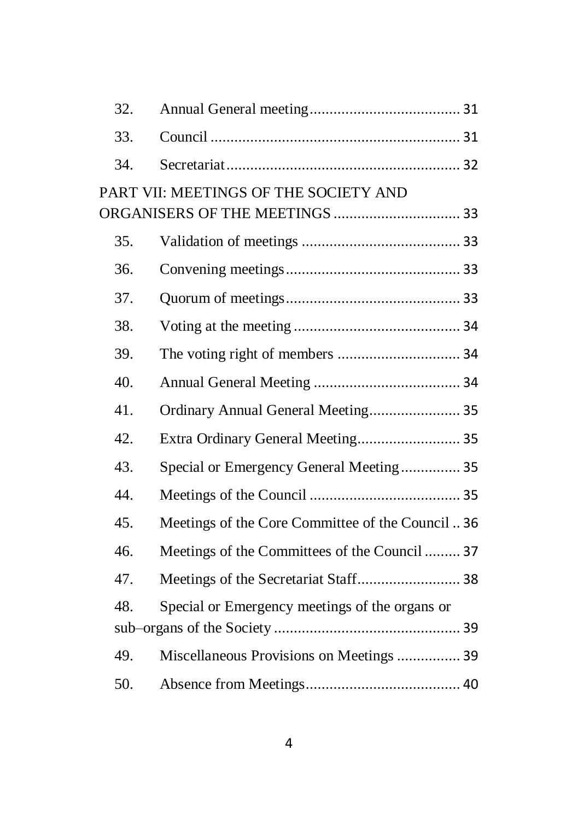| 32. |                                                   |  |
|-----|---------------------------------------------------|--|
| 33. |                                                   |  |
| 34. |                                                   |  |
|     | PART VII: MEETINGS OF THE SOCIETY AND             |  |
|     |                                                   |  |
| 35. |                                                   |  |
| 36. |                                                   |  |
| 37. |                                                   |  |
| 38. |                                                   |  |
| 39. |                                                   |  |
| 40. |                                                   |  |
| 41. | Ordinary Annual General Meeting 35                |  |
| 42. | Extra Ordinary General Meeting 35                 |  |
| 43. | Special or Emergency General Meeting 35           |  |
| 44. |                                                   |  |
| 45. | Meetings of the Core Committee of the Council  36 |  |
| 46. | Meetings of the Committees of the Council  37     |  |
| 47. | Meetings of the Secretariat Staff 38              |  |
| 48. | Special or Emergency meetings of the organs or    |  |
|     |                                                   |  |
| 49. | Miscellaneous Provisions on Meetings  39          |  |
| 50. |                                                   |  |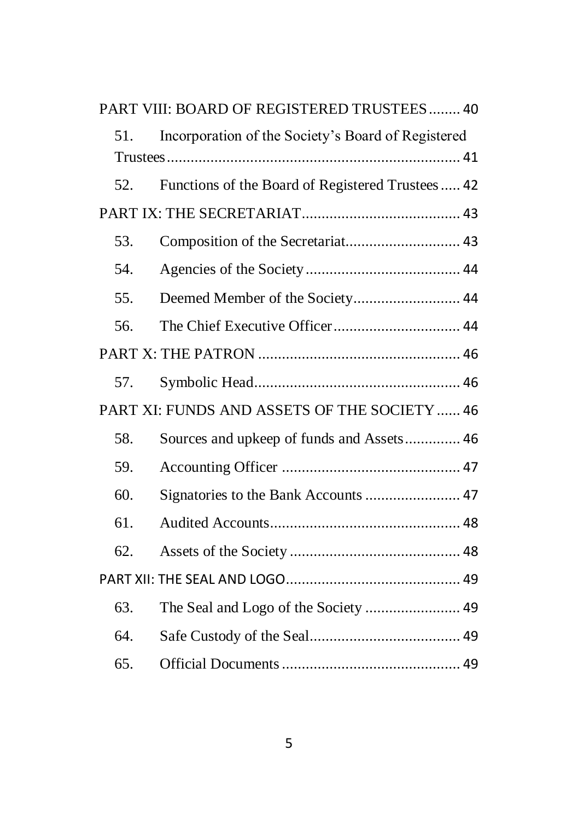|     | PART VIII: BOARD OF REGISTERED TRUSTEES 40         |  |
|-----|----------------------------------------------------|--|
| 51. | Incorporation of the Society's Board of Registered |  |
|     |                                                    |  |
| 52. | Functions of the Board of Registered Trustees  42  |  |
|     |                                                    |  |
| 53. |                                                    |  |
| 54. |                                                    |  |
| 55. | Deemed Member of the Society 44                    |  |
| 56. |                                                    |  |
|     |                                                    |  |
| 57. |                                                    |  |
|     | PART XI: FUNDS AND ASSETS OF THE SOCIETY  46       |  |
| 58. | Sources and upkeep of funds and Assets 46          |  |
| 59. |                                                    |  |
| 60. | Signatories to the Bank Accounts  47               |  |
| 61. |                                                    |  |
| 62. |                                                    |  |
|     |                                                    |  |
| 63. | The Seal and Logo of the Society  49               |  |
| 64. |                                                    |  |
| 65. |                                                    |  |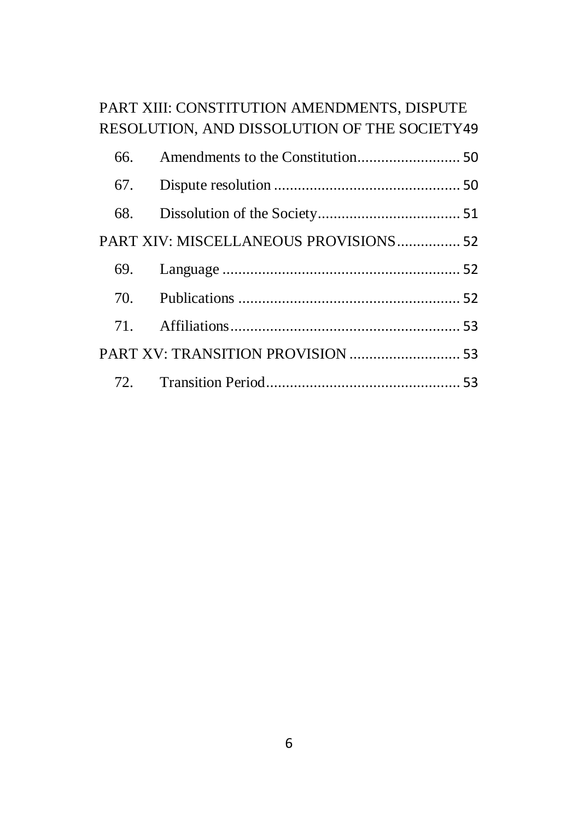# [PART XIII: CONSTITUTION AMENDMENTS, DISPUTE](#page-48-4)  [RESOLUTION, AND DISSOLUTION OF THE SOCIETY](#page-48-4)[49](#page-48-4)

| PART XIV: MISCELLANEOUS PROVISIONS 52 |  |
|---------------------------------------|--|
|                                       |  |
|                                       |  |
|                                       |  |
| PART XV: TRANSITION PROVISION  53     |  |
|                                       |  |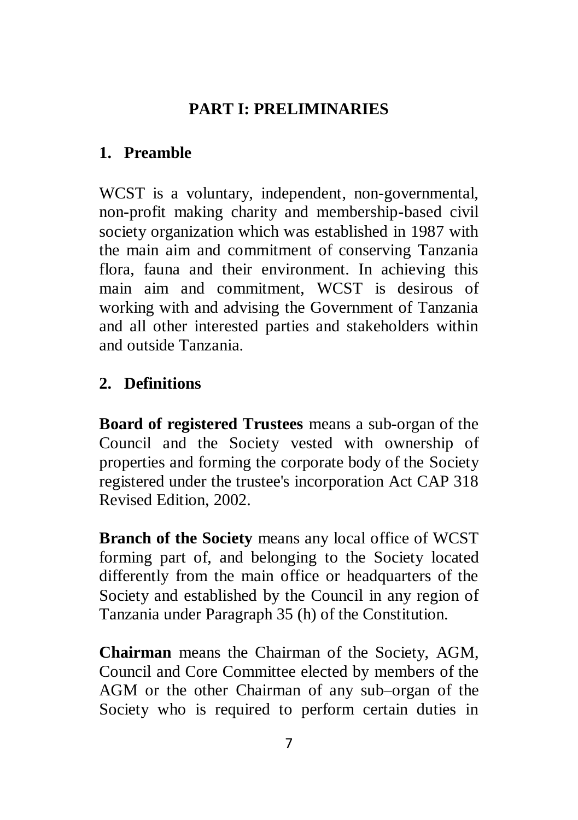## **PART I: PRELIMINARIES**

## <span id="page-6-1"></span><span id="page-6-0"></span>**1. Preamble**

WCST is a voluntary, independent, non-governmental, non-profit making charity and membership-based civil society organization which was established in 1987 with the main aim and commitment of conserving Tanzania flora, fauna and their environment. In achieving this main aim and commitment, WCST is desirous of working with and advising the Government of Tanzania and all other interested parties and stakeholders within and outside Tanzania.

## <span id="page-6-2"></span>**2. Definitions**

**Board of registered Trustees** means a sub-organ of the Council and the Society vested with ownership of properties and forming the corporate body of the Society registered under the trustee's incorporation Act CAP 318 Revised Edition, 2002.

**Branch of the Society** means any local office of WCST forming part of, and belonging to the Society located differently from the main office or headquarters of the Society and established by the Council in any region of Tanzania under Paragraph 35 (h) of the Constitution.

**Chairman** means the Chairman of the Society, AGM, Council and Core Committee elected by members of the AGM or the other Chairman of any sub–organ of the Society who is required to perform certain duties in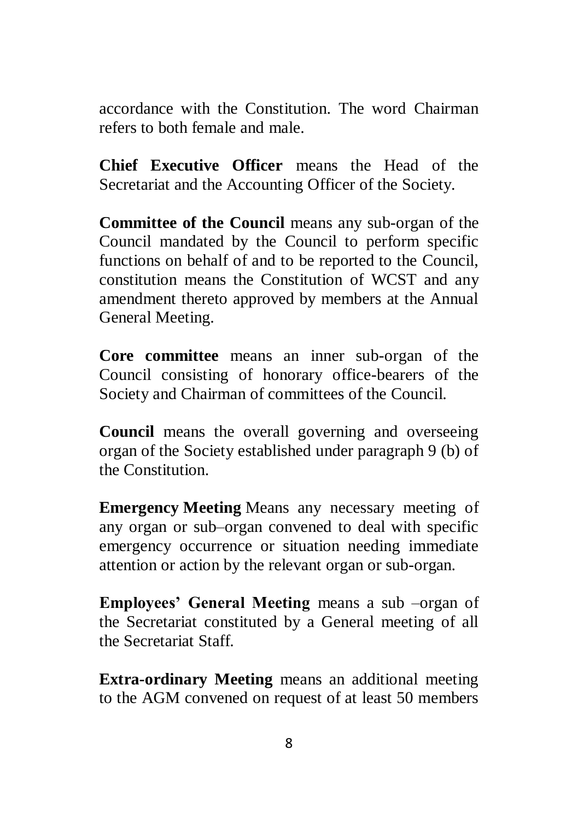accordance with the Constitution. The word Chairman refers to both female and male.

**Chief Executive Officer** means the Head of the Secretariat and the Accounting Officer of the Society.

**Committee of the Council** means any sub-organ of the Council mandated by the Council to perform specific functions on behalf of and to be reported to the Council, constitution means the Constitution of WCST and any amendment thereto approved by members at the Annual General Meeting.

**Core committee** means an inner sub-organ of the Council consisting of honorary office-bearers of the Society and Chairman of committees of the Council.

**Council** means the overall governing and overseeing organ of the Society established under paragraph 9 (b) of the Constitution.

**Emergency Meeting** Means any necessary meeting of any organ or sub–organ convened to deal with specific emergency occurrence or situation needing immediate attention or action by the relevant organ or sub-organ.

**Employees' General Meeting** means a sub –organ of the Secretariat constituted by a General meeting of all the Secretariat Staff.

**Extra-ordinary Meeting** means an additional meeting to the AGM convened on request of at least 50 members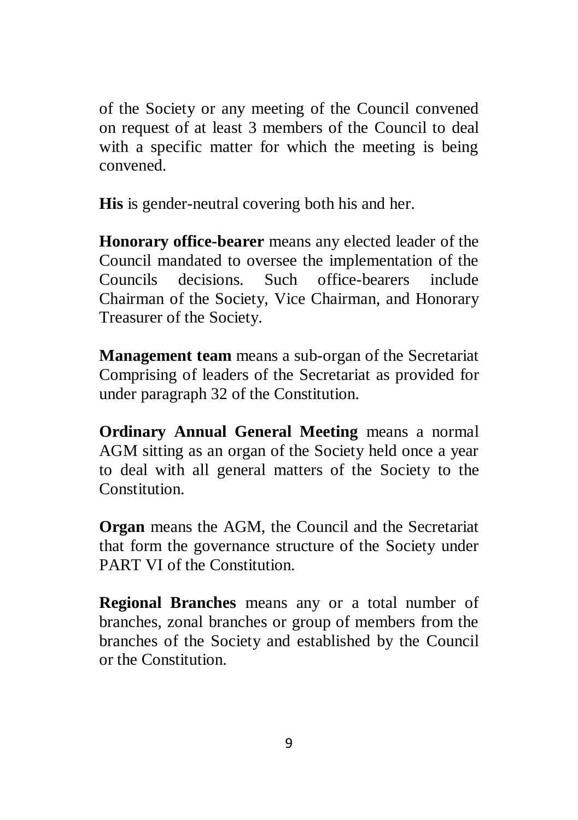of the Society or any meeting of the Council convened on request of at least 3 members of the Council to deal with a specific matter for which the meeting is being convened.

**His** is gender-neutral covering both his and her.

**Honorary office-bearer** means any elected leader of the Council mandated to oversee the implementation of the Councils decisions. Such office-bearers include Chairman of the Society, Vice Chairman, and Honorary Treasurer of the Society.

**Management team** means a sub-organ of the Secretariat Comprising of leaders of the Secretariat as provided for under paragraph 32 of the Constitution.

**Ordinary Annual General Meeting** means a normal AGM sitting as an organ of the Society held once a year to deal with all general matters of the Society to the Constitution.

**Organ** means the AGM, the Council and the Secretariat that form the governance structure of the Society under PART VI of the Constitution.

**Regional Branches** means any or a total number of branches, zonal branches or group of members from the branches of the Society and established by the Council or the Constitution.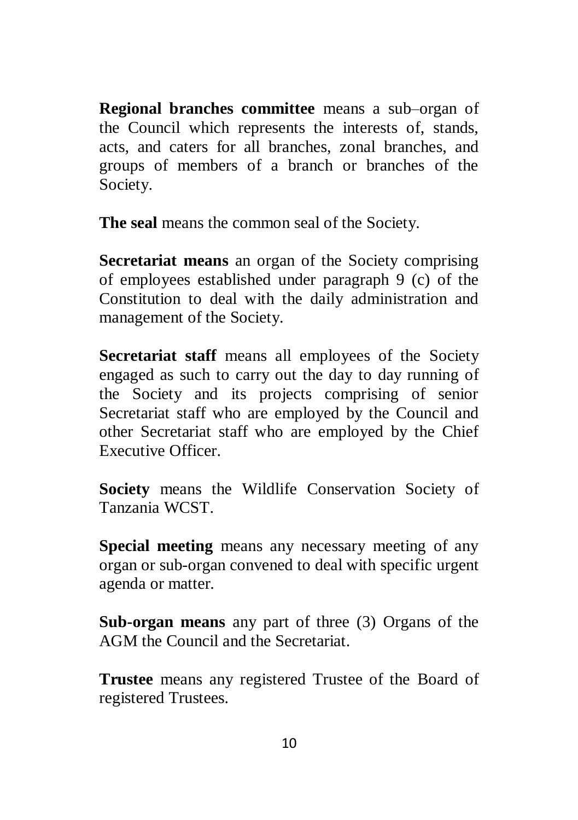**Regional branches committee** means a sub–organ of the Council which represents the interests of, stands, acts, and caters for all branches, zonal branches, and groups of members of a branch or branches of the Society.

**The seal** means the common seal of the Society.

**Secretariat means** an organ of the Society comprising of employees established under paragraph 9 (c) of the Constitution to deal with the daily administration and management of the Society.

**Secretariat staff** means all employees of the Society engaged as such to carry out the day to day running of the Society and its projects comprising of senior Secretariat staff who are employed by the Council and other Secretariat staff who are employed by the Chief Executive Officer.

**Society** means the Wildlife Conservation Society of Tanzania WCST.

**Special meeting** means any necessary meeting of any organ or sub-organ convened to deal with specific urgent agenda or matter.

**Sub-organ means** any part of three (3) Organs of the AGM the Council and the Secretariat.

**Trustee** means any registered Trustee of the Board of registered Trustees.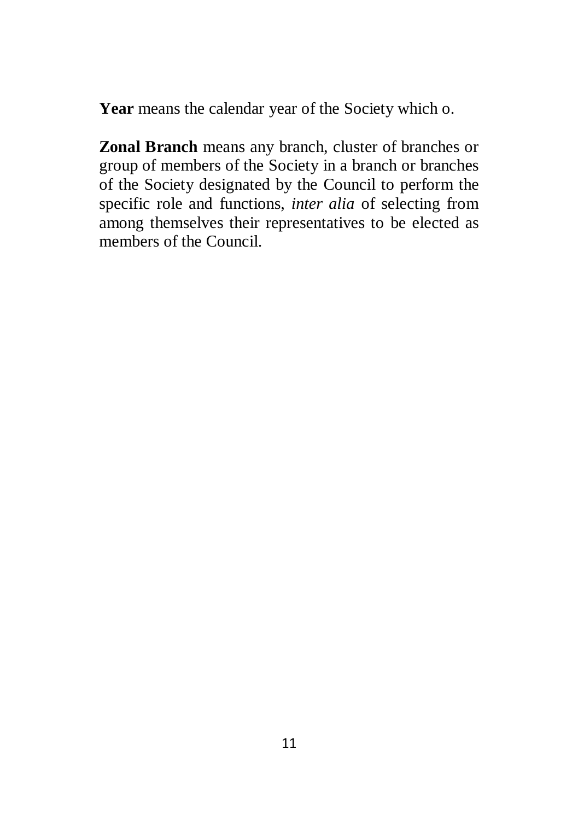**Year** means the calendar year of the Society which o.

**Zonal Branch** means any branch, cluster of branches or group of members of the Society in a branch or branches of the Society designated by the Council to perform the specific role and functions, *inter alia* of selecting from among themselves their representatives to be elected as members of the Council.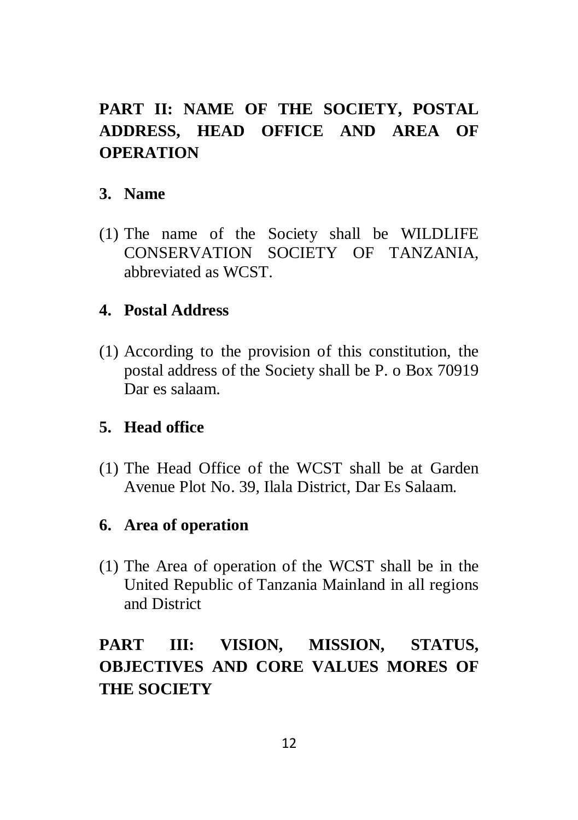# <span id="page-11-0"></span>**PART II: NAME OF THE SOCIETY, POSTAL ADDRESS, HEAD OFFICE AND AREA OF OPERATION**

## <span id="page-11-1"></span>**3. Name**

(1) The name of the Society shall be WILDLIFE CONSERVATION SOCIETY OF TANZANIA, abbreviated as WCST.

## <span id="page-11-2"></span>**4. Postal Address**

(1) According to the provision of this constitution, the postal address of the Society shall be P. o Box 70919 Dar es salaam.

## <span id="page-11-3"></span>**5. Head office**

(1) The Head Office of the WCST shall be at Garden Avenue Plot No. 39, Ilala District, Dar Es Salaam.

## <span id="page-11-4"></span>**6. Area of operation**

(1) The Area of operation of the WCST shall be in the United Republic of Tanzania Mainland in all regions and District

# <span id="page-11-5"></span>**PART III: VISION, MISSION, STATUS, OBJECTIVES AND CORE VALUES MORES OF THE SOCIETY**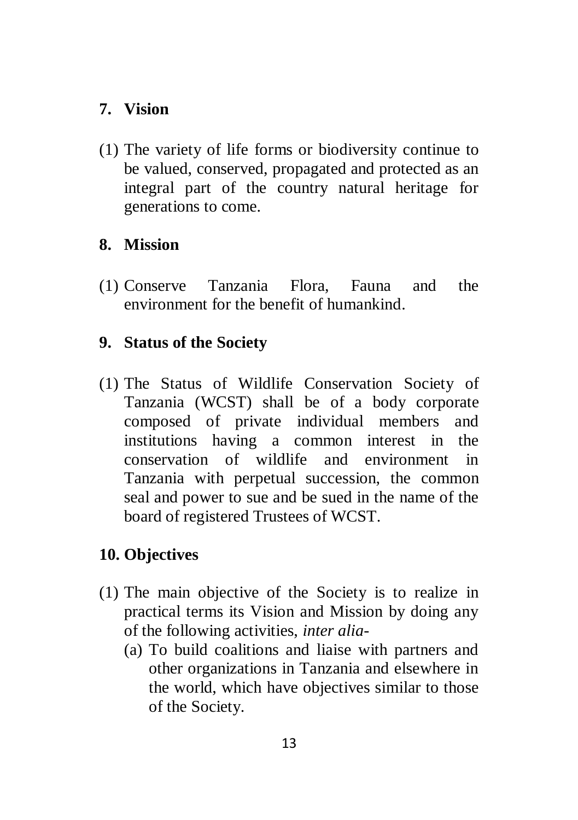## <span id="page-12-0"></span>**7. Vision**

(1) The variety of life forms or biodiversity continue to be valued, conserved, propagated and protected as an integral part of the country natural heritage for generations to come.

## <span id="page-12-1"></span>**8. Mission**

(1) Conserve Tanzania Flora, Fauna and the environment for the benefit of humankind.

## <span id="page-12-2"></span>**9. Status of the Society**

(1) The Status of Wildlife Conservation Society of Tanzania (WCST) shall be of a body corporate composed of private individual members and institutions having a common interest in the conservation of wildlife and environment in Tanzania with perpetual succession, the common seal and power to sue and be sued in the name of the board of registered Trustees of WCST.

## <span id="page-12-3"></span>**10. Objectives**

- (1) The main objective of the Society is to realize in practical terms its Vision and Mission by doing any of the following activities, *inter alia*-
	- (a) To build coalitions and liaise with partners and other organizations in Tanzania and elsewhere in the world, which have objectives similar to those of the Society.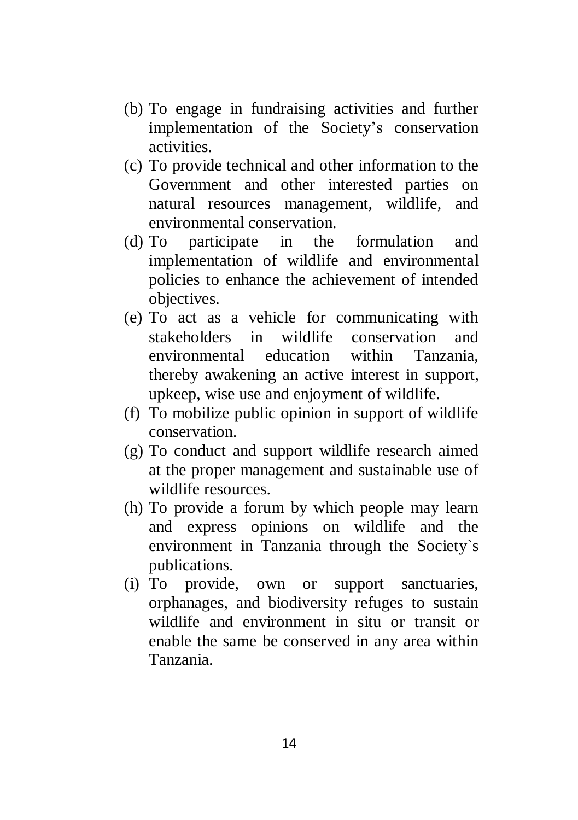- (b) To engage in fundraising activities and further implementation of the Society's conservation activities.
- (c) To provide technical and other information to the Government and other interested parties on natural resources management, wildlife, and environmental conservation.
- (d) To participate in the formulation and implementation of wildlife and environmental policies to enhance the achievement of intended objectives.
- (e) To act as a vehicle for communicating with stakeholders in wildlife conservation and environmental education within Tanzania, thereby awakening an active interest in support, upkeep, wise use and enjoyment of wildlife.
- (f) To mobilize public opinion in support of wildlife conservation.
- (g) To conduct and support wildlife research aimed at the proper management and sustainable use of wildlife resources.
- (h) To provide a forum by which people may learn and express opinions on wildlife and the environment in Tanzania through the Society`s publications.
- (i) To provide, own or support sanctuaries, orphanages, and biodiversity refuges to sustain wildlife and environment in situ or transit or enable the same be conserved in any area within Tanzania.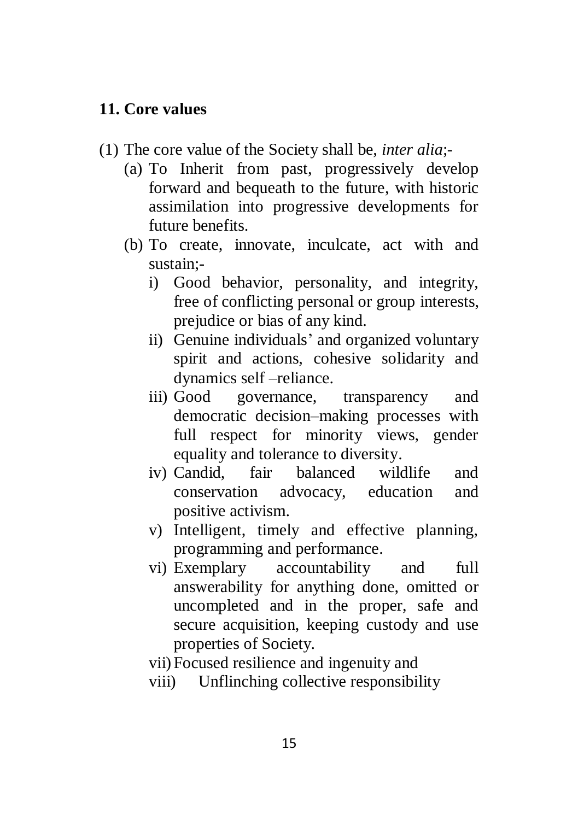#### <span id="page-14-0"></span>**11. Core values**

- (1) The core value of the Society shall be, *inter alia*;-
	- (a) To Inherit from past, progressively develop forward and bequeath to the future, with historic assimilation into progressive developments for future benefits.
	- (b) To create, innovate, inculcate, act with and sustain;
		- i) Good behavior, personality, and integrity, free of conflicting personal or group interests, prejudice or bias of any kind.
		- ii) Genuine individuals' and organized voluntary spirit and actions, cohesive solidarity and dynamics self –reliance.
		- iii) Good governance, transparency and democratic decision–making processes with full respect for minority views, gender equality and tolerance to diversity.
		- iv) Candid, fair balanced wildlife and conservation advocacy, education and positive activism.
		- v) Intelligent, timely and effective planning, programming and performance.
		- vi) Exemplary accountability and full answerability for anything done, omitted or uncompleted and in the proper, safe and secure acquisition, keeping custody and use properties of Society.
		- vii) Focused resilience and ingenuity and
		- viii) Unflinching collective responsibility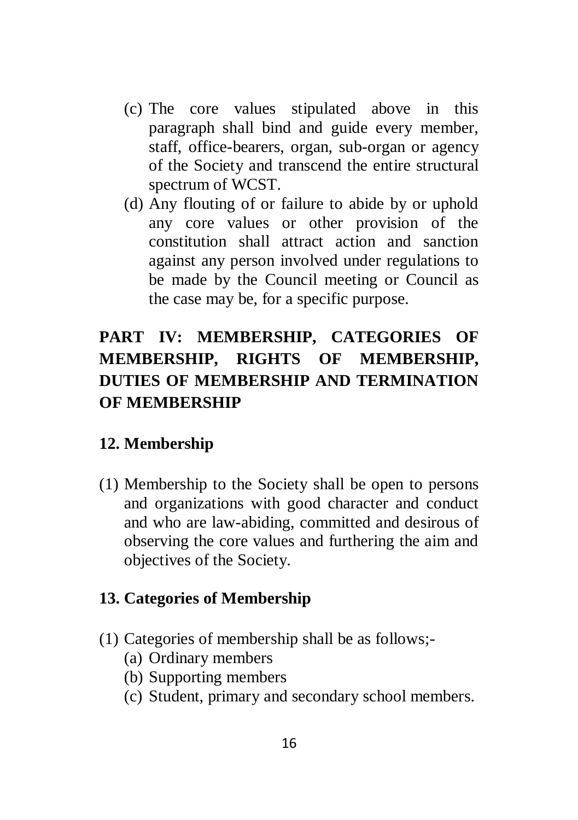- (c) The core values stipulated above in this paragraph shall bind and guide every member, staff, office-bearers, organ, sub-organ or agency of the Society and transcend the entire structural spectrum of WCST.
- (d) Any flouting of or failure to abide by or uphold any core values or other provision of the constitution shall attract action and sanction against any person involved under regulations to be made by the Council meeting or Council as the case may be, for a specific purpose.

# <span id="page-15-0"></span>**PART IV: MEMBERSHIP, CATEGORIES OF MEMBERSHIP, RIGHTS OF MEMBERSHIP, DUTIES OF MEMBERSHIP AND TERMINATION OF MEMBERSHIP**

## <span id="page-15-1"></span>**12. Membership**

(1) Membership to the Society shall be open to persons and organizations with good character and conduct and who are law-abiding, committed and desirous of observing the core values and furthering the aim and objectives of the Society.

#### <span id="page-15-2"></span>**13. Categories of Membership**

- (1) Categories of membership shall be as follows;-
	- (a) Ordinary members
	- (b) Supporting members
	- (c) Student, primary and secondary school members.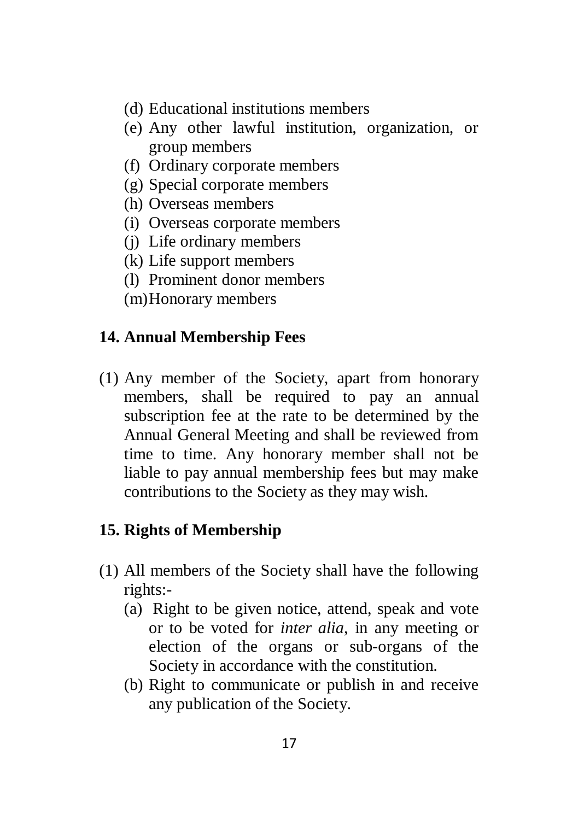- (d) Educational institutions members
- (e) Any other lawful institution, organization, or group members
- (f) Ordinary corporate members
- (g) Special corporate members
- (h) Overseas members
- (i) Overseas corporate members
- (j) Life ordinary members
- (k) Life support members
- (l) Prominent donor members
- (m)Honorary members

### <span id="page-16-0"></span>**14. Annual Membership Fees**

(1) Any member of the Society, apart from honorary members, shall be required to pay an annual subscription fee at the rate to be determined by the Annual General Meeting and shall be reviewed from time to time. Any honorary member shall not be liable to pay annual membership fees but may make contributions to the Society as they may wish.

#### <span id="page-16-1"></span>**15. Rights of Membership**

- (1) All members of the Society shall have the following rights:-
	- (a) Right to be given notice, attend, speak and vote or to be voted for *inter alia*, in any meeting or election of the organs or sub-organs of the Society in accordance with the constitution.
	- (b) Right to communicate or publish in and receive any publication of the Society.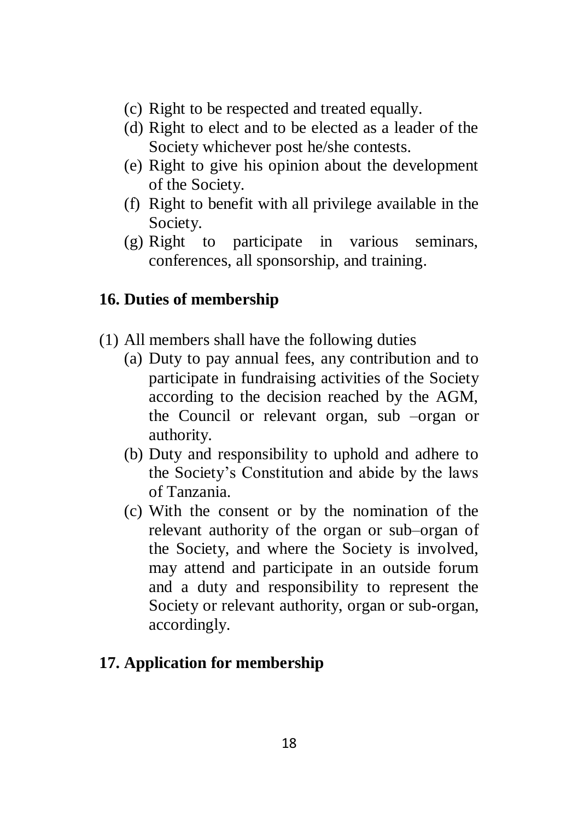- (c) Right to be respected and treated equally.
- (d) Right to elect and to be elected as a leader of the Society whichever post he/she contests.
- (e) Right to give his opinion about the development of the Society.
- (f) Right to benefit with all privilege available in the Society.
- (g) Right to participate in various seminars, conferences, all sponsorship, and training.

## <span id="page-17-0"></span>**16. Duties of membership**

- (1) All members shall have the following duties
	- (a) Duty to pay annual fees, any contribution and to participate in fundraising activities of the Society according to the decision reached by the AGM, the Council or relevant organ, sub –organ or authority.
	- (b) Duty and responsibility to uphold and adhere to the Society's Constitution and abide by the laws of Tanzania.
	- (c) With the consent or by the nomination of the relevant authority of the organ or sub–organ of the Society, and where the Society is involved, may attend and participate in an outside forum and a duty and responsibility to represent the Society or relevant authority, organ or sub-organ, accordingly.

## <span id="page-17-1"></span>**17. Application for membership**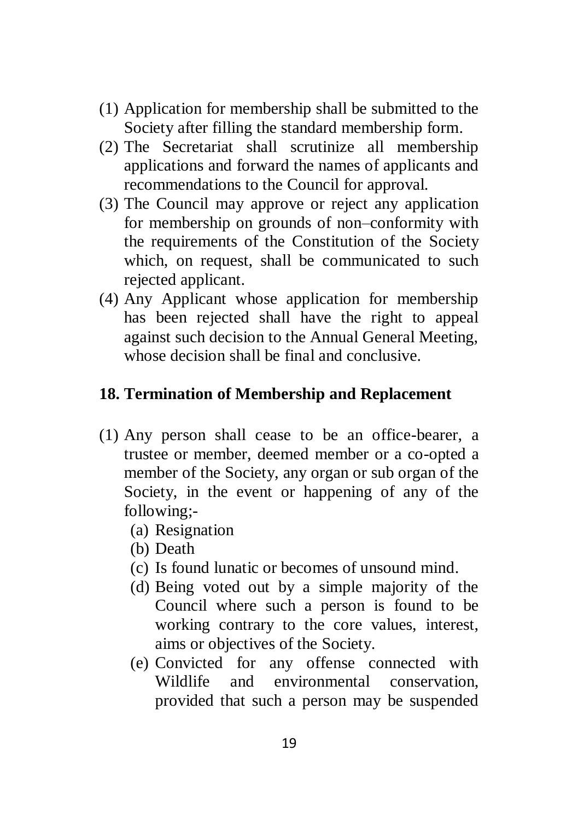- (1) Application for membership shall be submitted to the Society after filling the standard membership form.
- (2) The Secretariat shall scrutinize all membership applications and forward the names of applicants and recommendations to the Council for approval.
- (3) The Council may approve or reject any application for membership on grounds of non–conformity with the requirements of the Constitution of the Society which, on request, shall be communicated to such rejected applicant.
- (4) Any Applicant whose application for membership has been rejected shall have the right to appeal against such decision to the Annual General Meeting, whose decision shall be final and conclusive.

## <span id="page-18-0"></span>**18. Termination of Membership and Replacement**

- (1) Any person shall cease to be an office-bearer, a trustee or member, deemed member or a co-opted a member of the Society, any organ or sub organ of the Society, in the event or happening of any of the following;-
	- (a) Resignation
	- (b) Death
	- (c) Is found lunatic or becomes of unsound mind.
	- (d) Being voted out by a simple majority of the Council where such a person is found to be working contrary to the core values, interest, aims or objectives of the Society.
	- (e) Convicted for any offense connected with Wildlife and environmental conservation provided that such a person may be suspended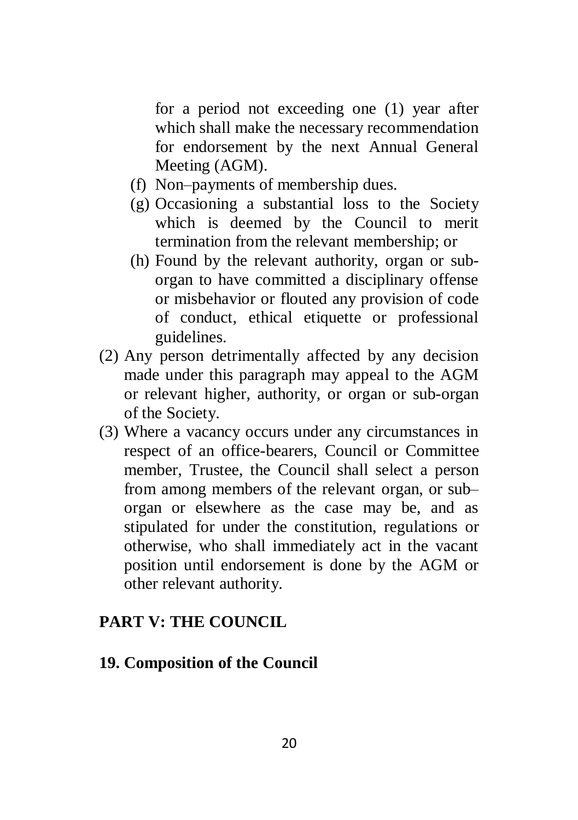for a period not exceeding one (1) year after which shall make the necessary recommendation for endorsement by the next Annual General Meeting (AGM).

- (f) Non–payments of membership dues.
- (g) Occasioning a substantial loss to the Society which is deemed by the Council to merit termination from the relevant membership; or
- (h) Found by the relevant authority, organ or suborgan to have committed a disciplinary offense or misbehavior or flouted any provision of code of conduct, ethical etiquette or professional guidelines.
- (2) Any person detrimentally affected by any decision made under this paragraph may appeal to the AGM or relevant higher, authority, or organ or sub-organ of the Society.
- (3) Where a vacancy occurs under any circumstances in respect of an office-bearers, Council or Committee member, Trustee, the Council shall select a person from among members of the relevant organ, or sub– organ or elsewhere as the case may be, and as stipulated for under the constitution, regulations or otherwise, who shall immediately act in the vacant position until endorsement is done by the AGM or other relevant authority.

#### <span id="page-19-0"></span>**PART V: THE COUNCIL**

#### <span id="page-19-1"></span>**19. Composition of the Council**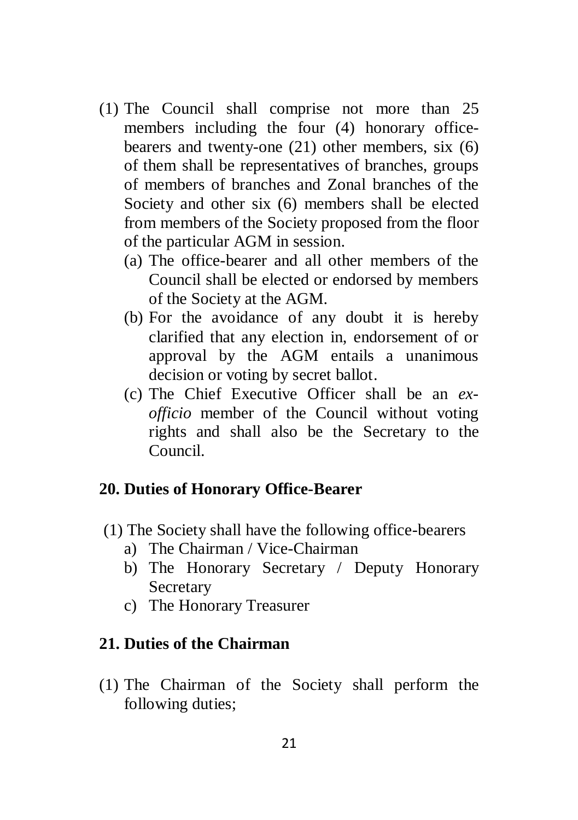- (1) The Council shall comprise not more than 25 members including the four (4) honorary officebearers and twenty-one (21) other members, six (6) of them shall be representatives of branches, groups of members of branches and Zonal branches of the Society and other six (6) members shall be elected from members of the Society proposed from the floor of the particular AGM in session.
	- (a) The office-bearer and all other members of the Council shall be elected or endorsed by members of the Society at the AGM.
	- (b) For the avoidance of any doubt it is hereby clarified that any election in, endorsement of or approval by the AGM entails a unanimous decision or voting by secret ballot.
	- (c) The Chief Executive Officer shall be an *exofficio* member of the Council without voting rights and shall also be the Secretary to the Council.

#### <span id="page-20-0"></span>**20. Duties of Honorary Office-Bearer**

- (1) The Society shall have the following office-bearers
	- a) The Chairman / Vice-Chairman
	- b) The Honorary Secretary / Deputy Honorary Secretary
	- c) The Honorary Treasurer

## <span id="page-20-1"></span>**21. Duties of the Chairman**

(1) The Chairman of the Society shall perform the following duties;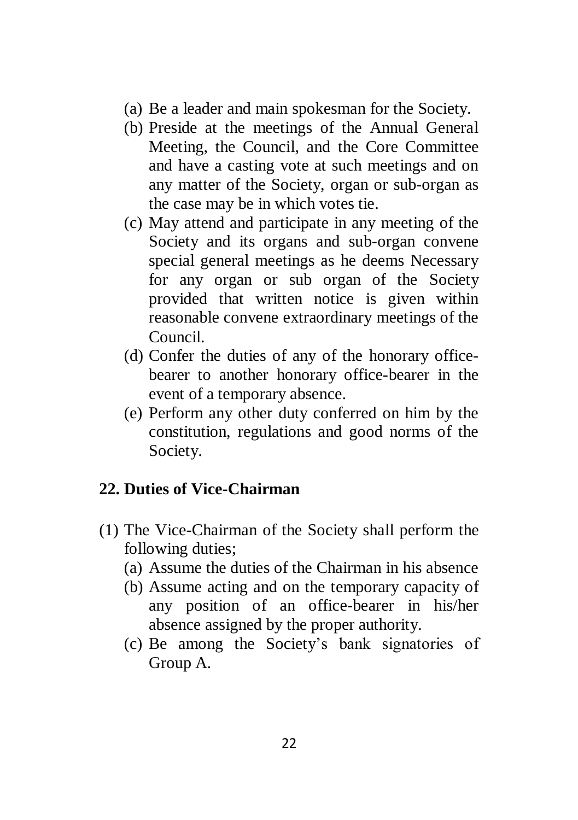- (a) Be a leader and main spokesman for the Society.
- (b) Preside at the meetings of the Annual General Meeting, the Council, and the Core Committee and have a casting vote at such meetings and on any matter of the Society, organ or sub-organ as the case may be in which votes tie.
- (c) May attend and participate in any meeting of the Society and its organs and sub-organ convene special general meetings as he deems Necessary for any organ or sub organ of the Society provided that written notice is given within reasonable convene extraordinary meetings of the Council.
- (d) Confer the duties of any of the honorary officebearer to another honorary office-bearer in the event of a temporary absence.
- (e) Perform any other duty conferred on him by the constitution, regulations and good norms of the Society.

## <span id="page-21-0"></span>**22. Duties of Vice-Chairman**

- (1) The Vice-Chairman of the Society shall perform the following duties;
	- (a) Assume the duties of the Chairman in his absence
	- (b) Assume acting and on the temporary capacity of any position of an office-bearer in his/her absence assigned by the proper authority.
	- (c) Be among the Society's bank signatories of Group A.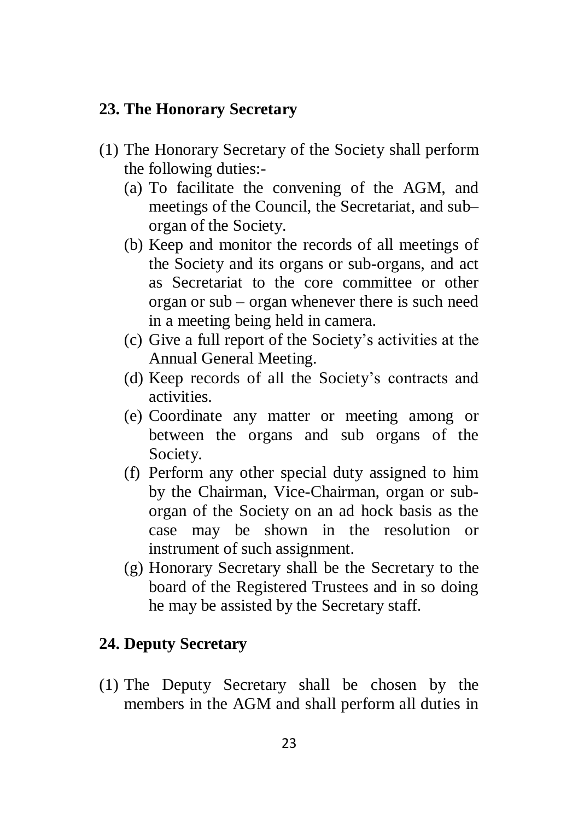#### <span id="page-22-0"></span>**23. The Honorary Secretary**

- (1) The Honorary Secretary of the Society shall perform the following duties:-
	- (a) To facilitate the convening of the AGM, and meetings of the Council, the Secretariat, and sub– organ of the Society.
	- (b) Keep and monitor the records of all meetings of the Society and its organs or sub-organs, and act as Secretariat to the core committee or other organ or sub – organ whenever there is such need in a meeting being held in camera.
	- (c) Give a full report of the Society's activities at the Annual General Meeting.
	- (d) Keep records of all the Society's contracts and activities.
	- (e) Coordinate any matter or meeting among or between the organs and sub organs of the Society.
	- (f) Perform any other special duty assigned to him by the Chairman, Vice-Chairman, organ or suborgan of the Society on an ad hock basis as the case may be shown in the resolution or instrument of such assignment.
	- (g) Honorary Secretary shall be the Secretary to the board of the Registered Trustees and in so doing he may be assisted by the Secretary staff.

## <span id="page-22-1"></span>**24. Deputy Secretary**

(1) The Deputy Secretary shall be chosen by the members in the AGM and shall perform all duties in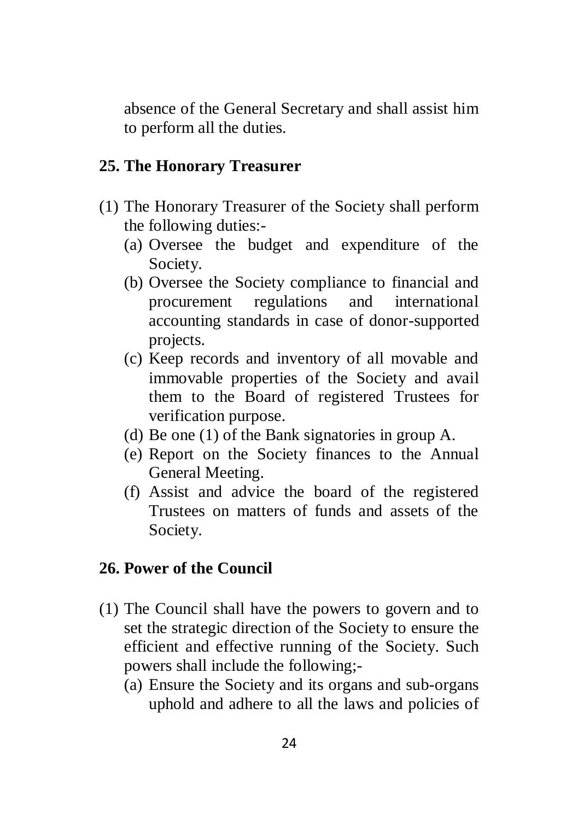absence of the General Secretary and shall assist him to perform all the duties.

## <span id="page-23-0"></span>**25. The Honorary Treasurer**

- (1) The Honorary Treasurer of the Society shall perform the following duties:-
	- (a) Oversee the budget and expenditure of the Society.
	- (b) Oversee the Society compliance to financial and procurement regulations and international accounting standards in case of donor-supported projects.
	- (c) Keep records and inventory of all movable and immovable properties of the Society and avail them to the Board of registered Trustees for verification purpose.
	- (d) Be one (1) of the Bank signatories in group A.
	- (e) Report on the Society finances to the Annual General Meeting.
	- (f) Assist and advice the board of the registered Trustees on matters of funds and assets of the Society.

## <span id="page-23-1"></span>**26. Power of the Council**

- (1) The Council shall have the powers to govern and to set the strategic direction of the Society to ensure the efficient and effective running of the Society. Such powers shall include the following;-
	- (a) Ensure the Society and its organs and sub-organs uphold and adhere to all the laws and policies of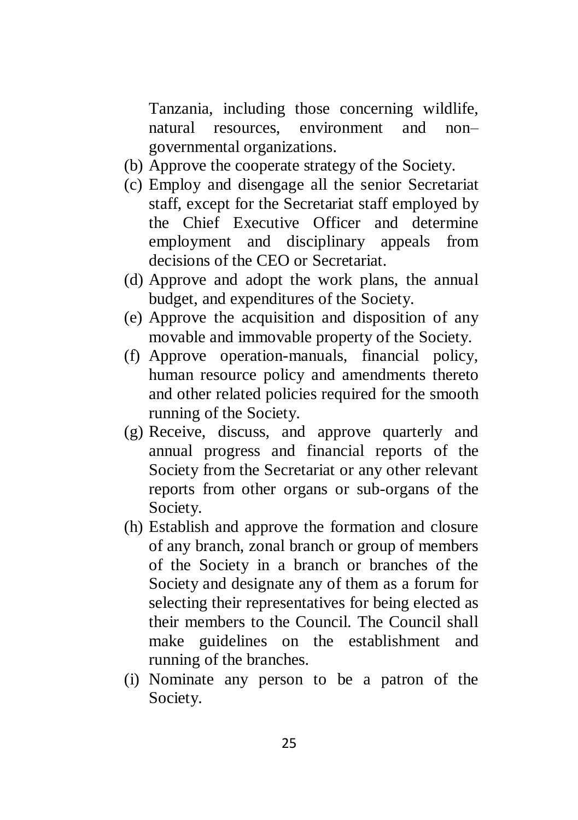Tanzania, including those concerning wildlife, natural resources, environment and non– governmental organizations.

- (b) Approve the cooperate strategy of the Society.
- (c) Employ and disengage all the senior Secretariat staff, except for the Secretariat staff employed by the Chief Executive Officer and determine employment and disciplinary appeals from decisions of the CEO or Secretariat.
- (d) Approve and adopt the work plans, the annual budget, and expenditures of the Society.
- (e) Approve the acquisition and disposition of any movable and immovable property of the Society.
- (f) Approve operation-manuals, financial policy, human resource policy and amendments thereto and other related policies required for the smooth running of the Society.
- (g) Receive, discuss, and approve quarterly and annual progress and financial reports of the Society from the Secretariat or any other relevant reports from other organs or sub-organs of the Society.
- (h) Establish and approve the formation and closure of any branch, zonal branch or group of members of the Society in a branch or branches of the Society and designate any of them as a forum for selecting their representatives for being elected as their members to the Council. The Council shall make guidelines on the establishment and running of the branches.
- (i) Nominate any person to be a patron of the Society.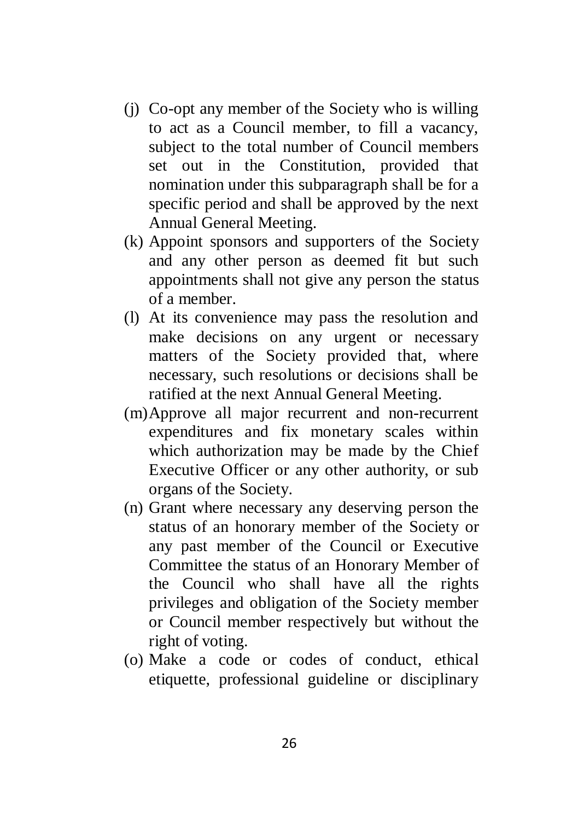- (j) Co-opt any member of the Society who is willing to act as a Council member, to fill a vacancy, subject to the total number of Council members set out in the Constitution, provided that nomination under this subparagraph shall be for a specific period and shall be approved by the next Annual General Meeting.
- (k) Appoint sponsors and supporters of the Society and any other person as deemed fit but such appointments shall not give any person the status of a member.
- (l) At its convenience may pass the resolution and make decisions on any urgent or necessary matters of the Society provided that, where necessary, such resolutions or decisions shall be ratified at the next Annual General Meeting.
- (m)Approve all major recurrent and non-recurrent expenditures and fix monetary scales within which authorization may be made by the Chief Executive Officer or any other authority, or sub organs of the Society.
- (n) Grant where necessary any deserving person the status of an honorary member of the Society or any past member of the Council or Executive Committee the status of an Honorary Member of the Council who shall have all the rights privileges and obligation of the Society member or Council member respectively but without the right of voting.
- (o) Make a code or codes of conduct, ethical etiquette, professional guideline or disciplinary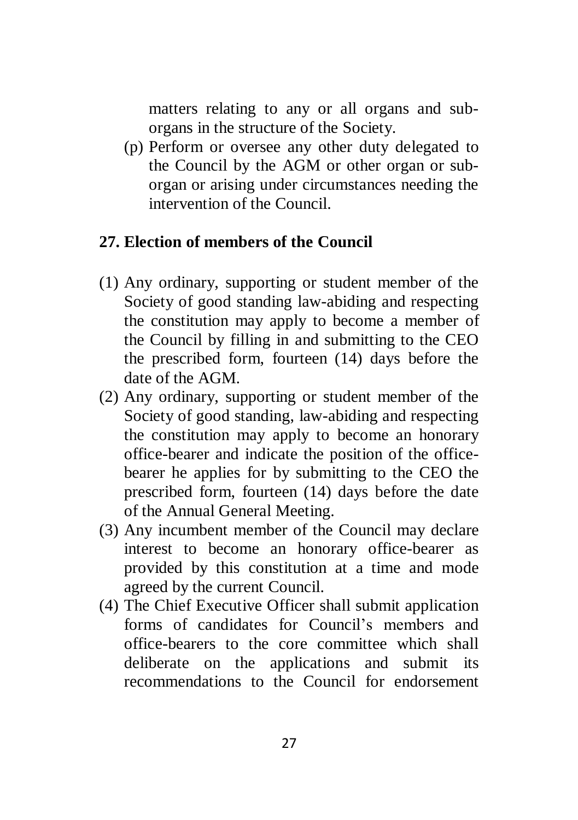matters relating to any or all organs and suborgans in the structure of the Society.

(p) Perform or oversee any other duty delegated to the Council by the AGM or other organ or suborgan or arising under circumstances needing the intervention of the Council.

### <span id="page-26-0"></span>**27. Election of members of the Council**

- (1) Any ordinary, supporting or student member of the Society of good standing law-abiding and respecting the constitution may apply to become a member of the Council by filling in and submitting to the CEO the prescribed form, fourteen (14) days before the date of the AGM.
- (2) Any ordinary, supporting or student member of the Society of good standing, law-abiding and respecting the constitution may apply to become an honorary office-bearer and indicate the position of the officebearer he applies for by submitting to the CEO the prescribed form, fourteen (14) days before the date of the Annual General Meeting.
- (3) Any incumbent member of the Council may declare interest to become an honorary office-bearer as provided by this constitution at a time and mode agreed by the current Council.
- (4) The Chief Executive Officer shall submit application forms of candidates for Council's members and office-bearers to the core committee which shall deliberate on the applications and submit its recommendations to the Council for endorsement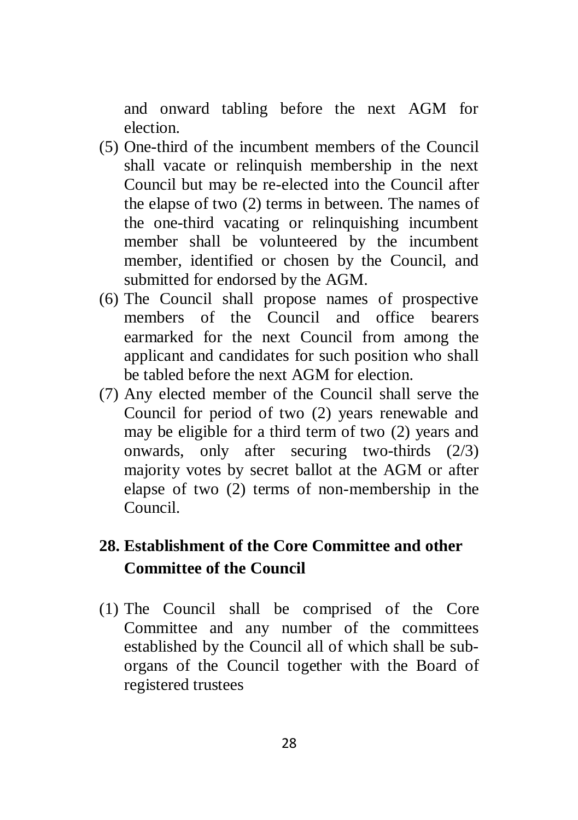and onward tabling before the next AGM for election.

- (5) One-third of the incumbent members of the Council shall vacate or relinquish membership in the next Council but may be re-elected into the Council after the elapse of two (2) terms in between. The names of the one-third vacating or relinquishing incumbent member shall be volunteered by the incumbent member, identified or chosen by the Council, and submitted for endorsed by the AGM.
- (6) The Council shall propose names of prospective members of the Council and office bearers earmarked for the next Council from among the applicant and candidates for such position who shall be tabled before the next AGM for election.
- (7) Any elected member of the Council shall serve the Council for period of two (2) years renewable and may be eligible for a third term of two (2) years and onwards, only after securing two-thirds (2/3) majority votes by secret ballot at the AGM or after elapse of two (2) terms of non-membership in the Council.

## <span id="page-27-0"></span>**28. Establishment of the Core Committee and other Committee of the Council**

(1) The Council shall be comprised of the Core Committee and any number of the committees established by the Council all of which shall be suborgans of the Council together with the Board of registered trustees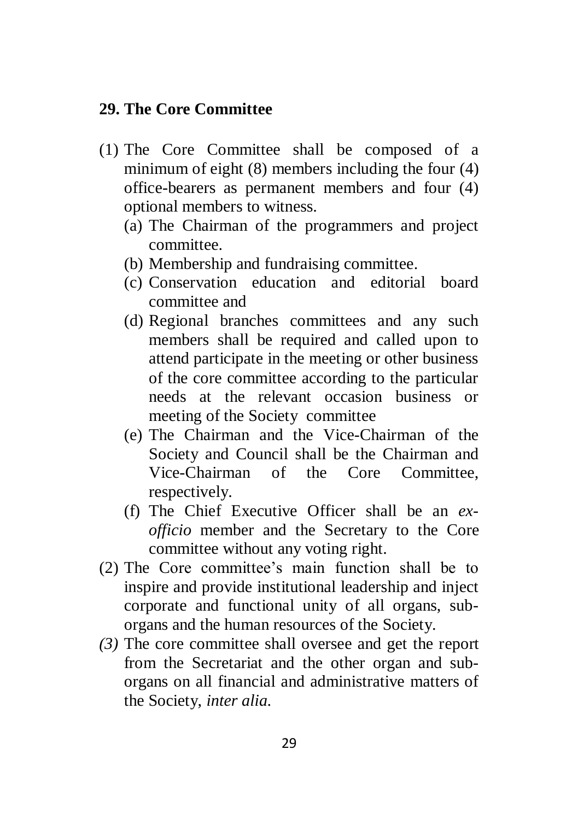#### <span id="page-28-0"></span>**29. The Core Committee**

- (1) The Core Committee shall be composed of a minimum of eight (8) members including the four (4) office-bearers as permanent members and four (4) optional members to witness.
	- (a) The Chairman of the programmers and project committee.
	- (b) Membership and fundraising committee.
	- (c) Conservation education and editorial board committee and
	- (d) Regional branches committees and any such members shall be required and called upon to attend participate in the meeting or other business of the core committee according to the particular needs at the relevant occasion business or meeting of the Society committee
	- (e) The Chairman and the Vice-Chairman of the Society and Council shall be the Chairman and Vice-Chairman of the Core Committee, respectively.
	- (f) The Chief Executive Officer shall be an *exofficio* member and the Secretary to the Core committee without any voting right.
- (2) The Core committee's main function shall be to inspire and provide institutional leadership and inject corporate and functional unity of all organs, suborgans and the human resources of the Society.
- *(3)* The core committee shall oversee and get the report from the Secretariat and the other organ and suborgans on all financial and administrative matters of the Society, *inter alia.*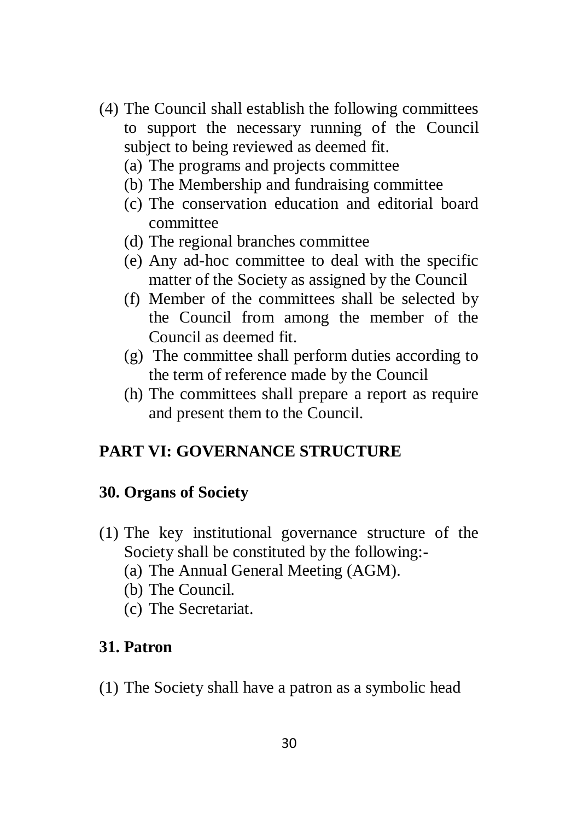- (4) The Council shall establish the following committees to support the necessary running of the Council subject to being reviewed as deemed fit.
	- (a) The programs and projects committee
	- (b) The Membership and fundraising committee
	- (c) The conservation education and editorial board committee
	- (d) The regional branches committee
	- (e) Any ad-hoc committee to deal with the specific matter of the Society as assigned by the Council
	- (f) Member of the committees shall be selected by the Council from among the member of the Council as deemed fit.
	- (g) The committee shall perform duties according to the term of reference made by the Council
	- (h) The committees shall prepare a report as require and present them to the Council.

## <span id="page-29-0"></span>**PART VI: GOVERNANCE STRUCTURE**

#### <span id="page-29-1"></span>**30. Organs of Society**

- (1) The key institutional governance structure of the Society shall be constituted by the following:-
	- (a) The Annual General Meeting (AGM).
	- (b) The Council.
	- (c) The Secretariat.

## <span id="page-29-2"></span>**31. Patron**

(1) The Society shall have a patron as a symbolic head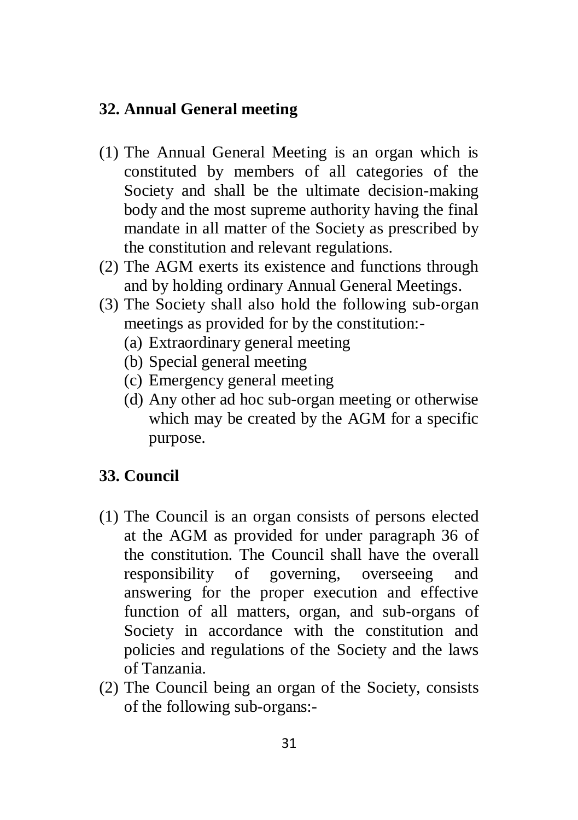### <span id="page-30-0"></span>**32. Annual General meeting**

- (1) The Annual General Meeting is an organ which is constituted by members of all categories of the Society and shall be the ultimate decision-making body and the most supreme authority having the final mandate in all matter of the Society as prescribed by the constitution and relevant regulations.
- (2) The AGM exerts its existence and functions through and by holding ordinary Annual General Meetings.
- (3) The Society shall also hold the following sub-organ meetings as provided for by the constitution:-
	- (a) Extraordinary general meeting
	- (b) Special general meeting
	- (c) Emergency general meeting
	- (d) Any other ad hoc sub-organ meeting or otherwise which may be created by the AGM for a specific purpose.

## <span id="page-30-1"></span>**33. Council**

- (1) The Council is an organ consists of persons elected at the AGM as provided for under paragraph 36 of the constitution. The Council shall have the overall responsibility of governing, overseeing and answering for the proper execution and effective function of all matters, organ, and sub-organs of Society in accordance with the constitution and policies and regulations of the Society and the laws of Tanzania.
- (2) The Council being an organ of the Society, consists of the following sub-organs:-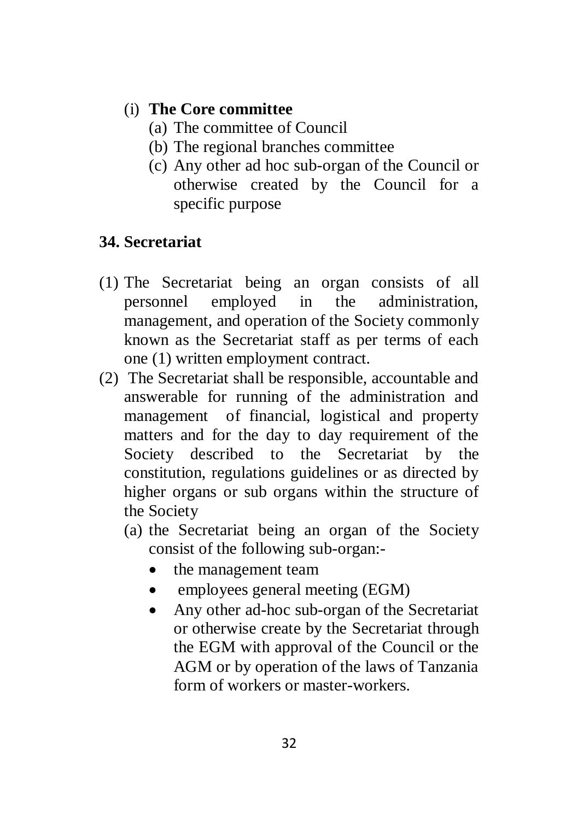## (i) **The Core committee**

- (a) The committee of Council
- (b) The regional branches committee
- (c) Any other ad hoc sub-organ of the Council or otherwise created by the Council for a specific purpose

## <span id="page-31-0"></span>**34. Secretariat**

- (1) The Secretariat being an organ consists of all personnel employed in the administration, management, and operation of the Society commonly known as the Secretariat staff as per terms of each one (1) written employment contract.
- (2) The Secretariat shall be responsible, accountable and answerable for running of the administration and management of financial, logistical and property matters and for the day to day requirement of the Society described to the Secretariat by the constitution, regulations guidelines or as directed by higher organs or sub organs within the structure of the Society
	- (a) the Secretariat being an organ of the Society consist of the following sub-organ:-
		- the management team
		- employees general meeting (EGM)
		- Any other ad-hoc sub-organ of the Secretariat or otherwise create by the Secretariat through the EGM with approval of the Council or the AGM or by operation of the laws of Tanzania form of workers or master-workers.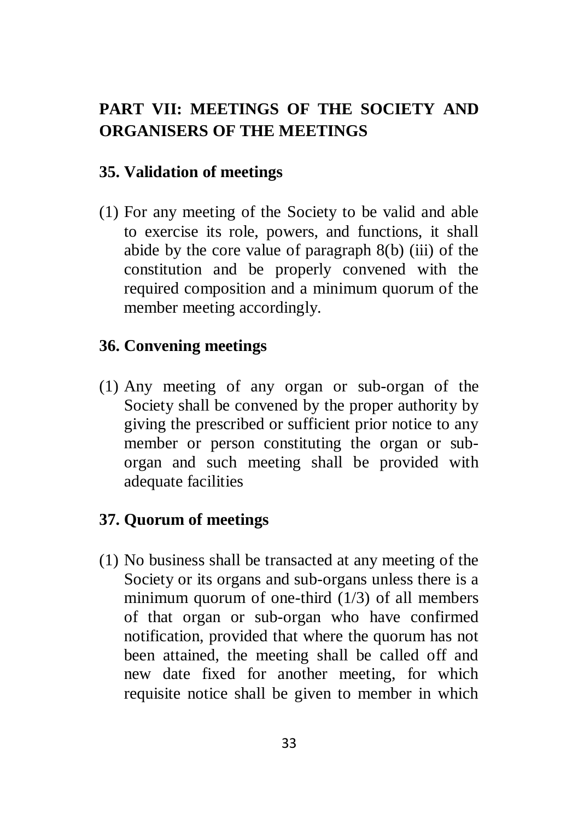# <span id="page-32-0"></span>**PART VII: MEETINGS OF THE SOCIETY AND ORGANISERS OF THE MEETINGS**

## <span id="page-32-1"></span>**35. Validation of meetings**

(1) For any meeting of the Society to be valid and able to exercise its role, powers, and functions, it shall abide by the core value of paragraph 8(b) (iii) of the constitution and be properly convened with the required composition and a minimum quorum of the member meeting accordingly.

## <span id="page-32-2"></span>**36. Convening meetings**

(1) Any meeting of any organ or sub-organ of the Society shall be convened by the proper authority by giving the prescribed or sufficient prior notice to any member or person constituting the organ or suborgan and such meeting shall be provided with adequate facilities

## <span id="page-32-3"></span>**37. Quorum of meetings**

(1) No business shall be transacted at any meeting of the Society or its organs and sub-organs unless there is a minimum quorum of one-third (1/3) of all members of that organ or sub-organ who have confirmed notification, provided that where the quorum has not been attained, the meeting shall be called off and new date fixed for another meeting, for which requisite notice shall be given to member in which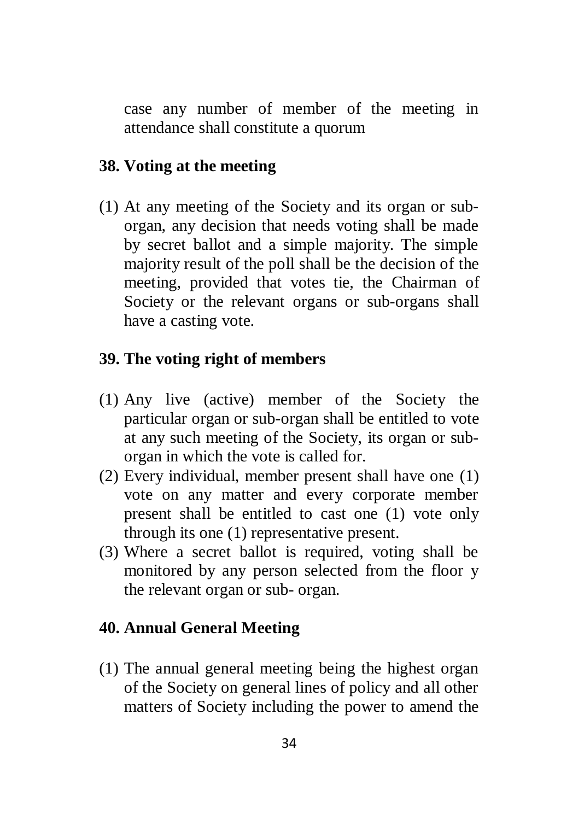case any number of member of the meeting in attendance shall constitute a quorum

### <span id="page-33-0"></span>**38. Voting at the meeting**

(1) At any meeting of the Society and its organ or suborgan, any decision that needs voting shall be made by secret ballot and a simple majority. The simple majority result of the poll shall be the decision of the meeting, provided that votes tie, the Chairman of Society or the relevant organs or sub-organs shall have a casting vote.

### <span id="page-33-1"></span>**39. The voting right of members**

- (1) Any live (active) member of the Society the particular organ or sub-organ shall be entitled to vote at any such meeting of the Society, its organ or suborgan in which the vote is called for.
- (2) Every individual, member present shall have one (1) vote on any matter and every corporate member present shall be entitled to cast one (1) vote only through its one (1) representative present.
- (3) Where a secret ballot is required, voting shall be monitored by any person selected from the floor y the relevant organ or sub- organ.

#### <span id="page-33-2"></span>**40. Annual General Meeting**

(1) The annual general meeting being the highest organ of the Society on general lines of policy and all other matters of Society including the power to amend the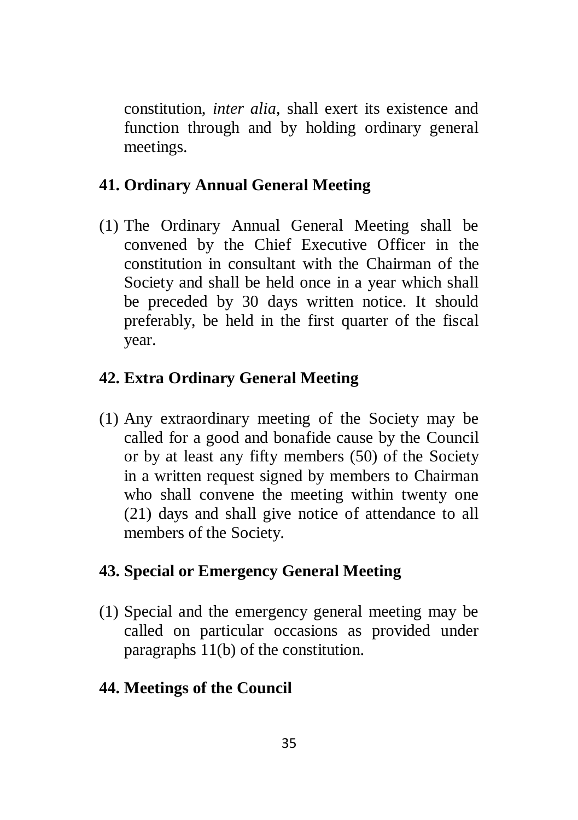constitution, *inter alia*, shall exert its existence and function through and by holding ordinary general meetings.

## <span id="page-34-0"></span>**41. Ordinary Annual General Meeting**

(1) The Ordinary Annual General Meeting shall be convened by the Chief Executive Officer in the constitution in consultant with the Chairman of the Society and shall be held once in a year which shall be preceded by 30 days written notice. It should preferably, be held in the first quarter of the fiscal year.

#### <span id="page-34-1"></span>**42. Extra Ordinary General Meeting**

(1) Any extraordinary meeting of the Society may be called for a good and bonafide cause by the Council or by at least any fifty members (50) of the Society in a written request signed by members to Chairman who shall convene the meeting within twenty one (21) days and shall give notice of attendance to all members of the Society.

#### <span id="page-34-2"></span>**43. Special or Emergency General Meeting**

(1) Special and the emergency general meeting may be called on particular occasions as provided under paragraphs 11(b) of the constitution.

#### <span id="page-34-3"></span>**44. Meetings of the Council**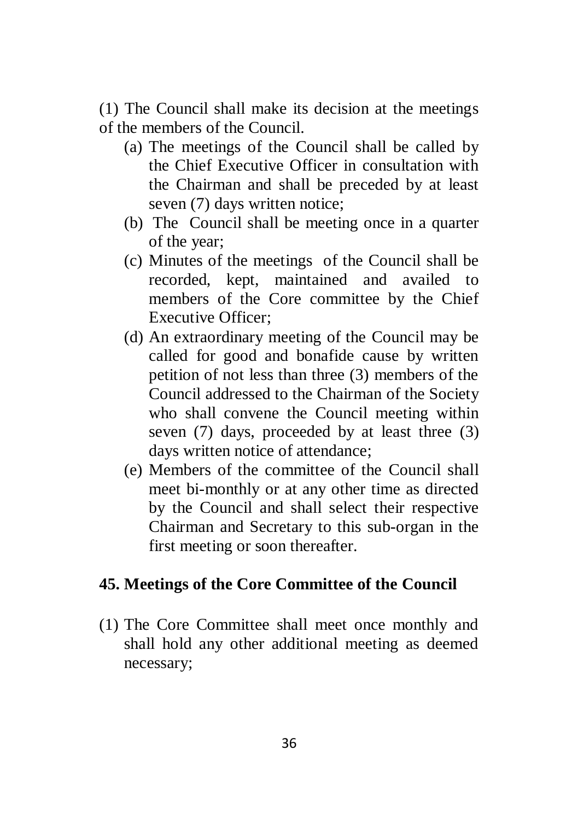(1) The Council shall make its decision at the meetings of the members of the Council.

- (a) The meetings of the Council shall be called by the Chief Executive Officer in consultation with the Chairman and shall be preceded by at least seven (7) days written notice;
- (b) The Council shall be meeting once in a quarter of the year;
- (c) Minutes of the meetings of the Council shall be recorded, kept, maintained and availed to members of the Core committee by the Chief Executive Officer;
- (d) An extraordinary meeting of the Council may be called for good and bonafide cause by written petition of not less than three (3) members of the Council addressed to the Chairman of the Society who shall convene the Council meeting within seven (7) days, proceeded by at least three (3) days written notice of attendance;
- (e) Members of the committee of the Council shall meet bi-monthly or at any other time as directed by the Council and shall select their respective Chairman and Secretary to this sub-organ in the first meeting or soon thereafter.

## <span id="page-35-0"></span>**45. Meetings of the Core Committee of the Council**

(1) The Core Committee shall meet once monthly and shall hold any other additional meeting as deemed necessary;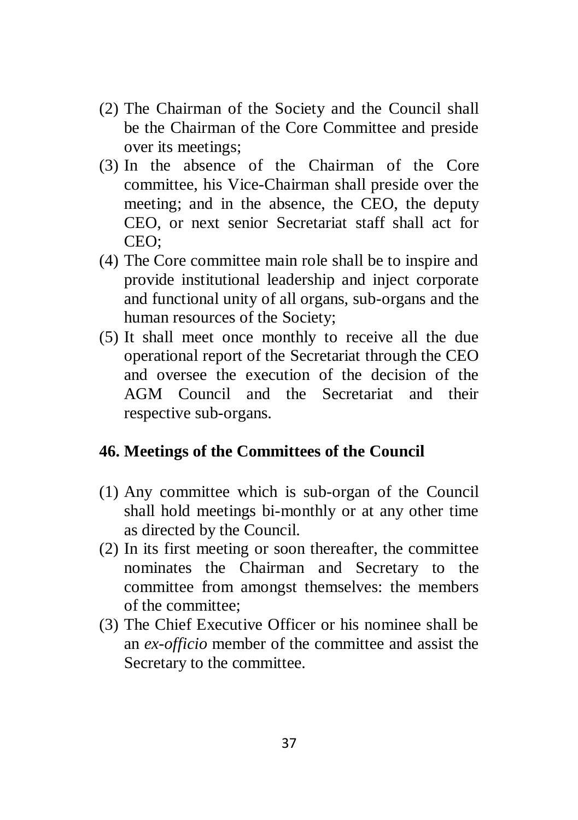- (2) The Chairman of the Society and the Council shall be the Chairman of the Core Committee and preside over its meetings;
- (3) In the absence of the Chairman of the Core committee, his Vice-Chairman shall preside over the meeting; and in the absence, the CEO, the deputy CEO, or next senior Secretariat staff shall act for CEO;
- (4) The Core committee main role shall be to inspire and provide institutional leadership and inject corporate and functional unity of all organs, sub-organs and the human resources of the Society;
- (5) It shall meet once monthly to receive all the due operational report of the Secretariat through the CEO and oversee the execution of the decision of the AGM Council and the Secretariat and their respective sub-organs.

## <span id="page-36-0"></span>**46. Meetings of the Committees of the Council**

- (1) Any committee which is sub-organ of the Council shall hold meetings bi-monthly or at any other time as directed by the Council.
- (2) In its first meeting or soon thereafter, the committee nominates the Chairman and Secretary to the committee from amongst themselves: the members of the committee;
- (3) The Chief Executive Officer or his nominee shall be an *ex-officio* member of the committee and assist the Secretary to the committee.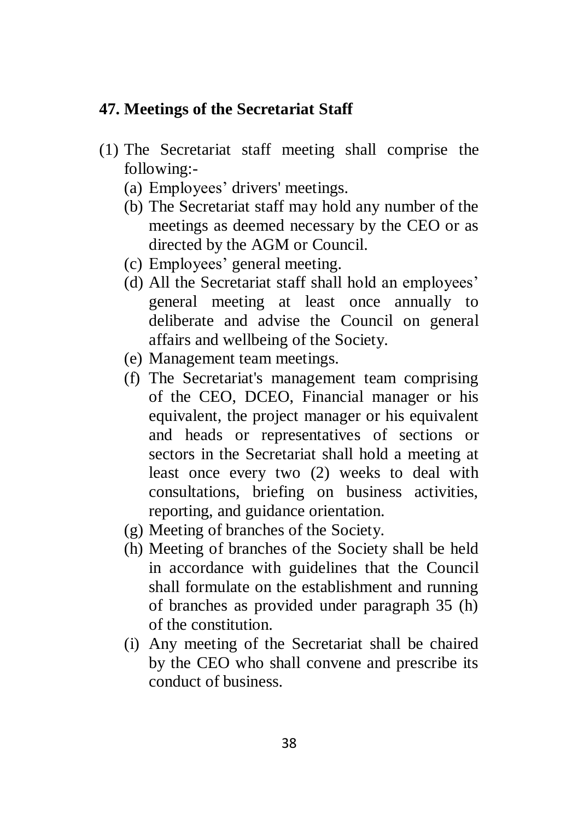### <span id="page-37-0"></span>**47. Meetings of the Secretariat Staff**

- (1) The Secretariat staff meeting shall comprise the following:-
	- (a) Employees' drivers' meetings.
	- (b) The Secretariat staff may hold any number of the meetings as deemed necessary by the CEO or as directed by the AGM or Council.
	- (c) Employees' general meeting.
	- (d) All the Secretariat staff shall hold an employees' general meeting at least once annually to deliberate and advise the Council on general affairs and wellbeing of the Society.
	- (e) Management team meetings.
	- (f) The Secretariat's management team comprising of the CEO, DCEO, Financial manager or his equivalent, the project manager or his equivalent and heads or representatives of sections or sectors in the Secretariat shall hold a meeting at least once every two (2) weeks to deal with consultations, briefing on business activities, reporting, and guidance orientation.
	- (g) Meeting of branches of the Society.
	- (h) Meeting of branches of the Society shall be held in accordance with guidelines that the Council shall formulate on the establishment and running of branches as provided under paragraph 35 (h) of the constitution.
	- (i) Any meeting of the Secretariat shall be chaired by the CEO who shall convene and prescribe its conduct of business.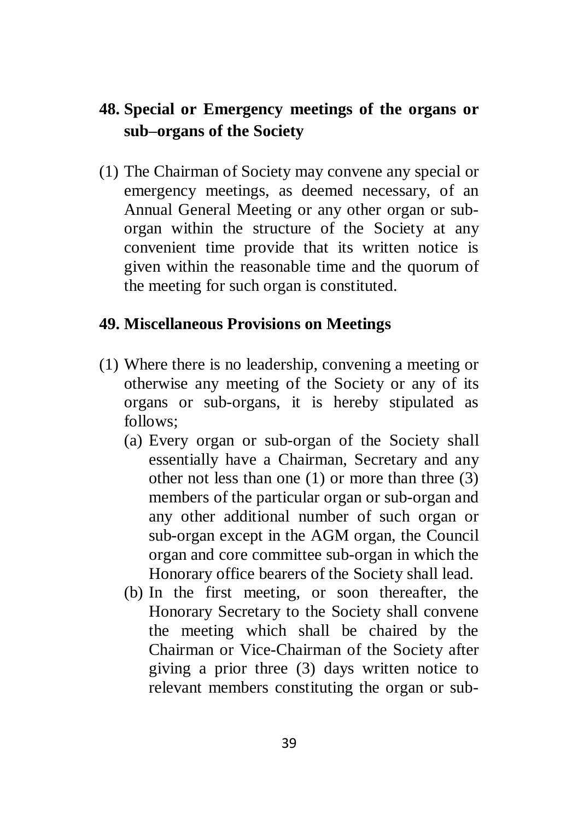## <span id="page-38-0"></span>**48. Special or Emergency meetings of the organs or sub–organs of the Society**

(1) The Chairman of Society may convene any special or emergency meetings, as deemed necessary, of an Annual General Meeting or any other organ or suborgan within the structure of the Society at any convenient time provide that its written notice is given within the reasonable time and the quorum of the meeting for such organ is constituted.

## <span id="page-38-1"></span>**49. Miscellaneous Provisions on Meetings**

- (1) Where there is no leadership, convening a meeting or otherwise any meeting of the Society or any of its organs or sub-organs, it is hereby stipulated as  $follows$ 
	- (a) Every organ or sub-organ of the Society shall essentially have a Chairman, Secretary and any other not less than one (1) or more than three (3) members of the particular organ or sub-organ and any other additional number of such organ or sub-organ except in the AGM organ, the Council organ and core committee sub-organ in which the Honorary office bearers of the Society shall lead.
	- (b) In the first meeting, or soon thereafter, the Honorary Secretary to the Society shall convene the meeting which shall be chaired by the Chairman or Vice-Chairman of the Society after giving a prior three (3) days written notice to relevant members constituting the organ or sub-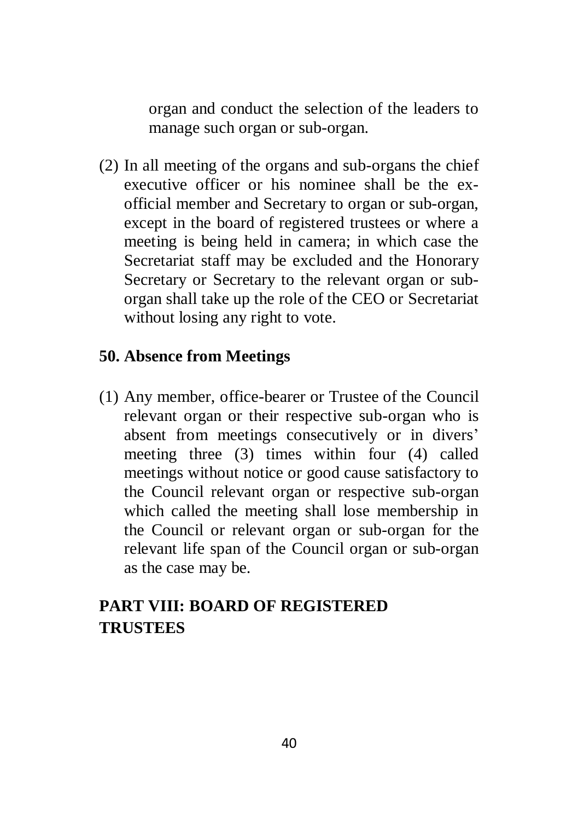organ and conduct the selection of the leaders to manage such organ or sub-organ.

(2) In all meeting of the organs and sub-organs the chief executive officer or his nominee shall be the exofficial member and Secretary to organ or sub-organ, except in the board of registered trustees or where a meeting is being held in camera; in which case the Secretariat staff may be excluded and the Honorary Secretary or Secretary to the relevant organ or suborgan shall take up the role of the CEO or Secretariat without losing any right to vote.

### <span id="page-39-0"></span>**50. Absence from Meetings**

(1) Any member, office-bearer or Trustee of the Council relevant organ or their respective sub-organ who is absent from meetings consecutively or in divers' meeting three (3) times within four (4) called meetings without notice or good cause satisfactory to the Council relevant organ or respective sub-organ which called the meeting shall lose membership in the Council or relevant organ or sub-organ for the relevant life span of the Council organ or sub-organ as the case may be.

## <span id="page-39-1"></span>**PART VIII: BOARD OF REGISTERED TRUSTEES**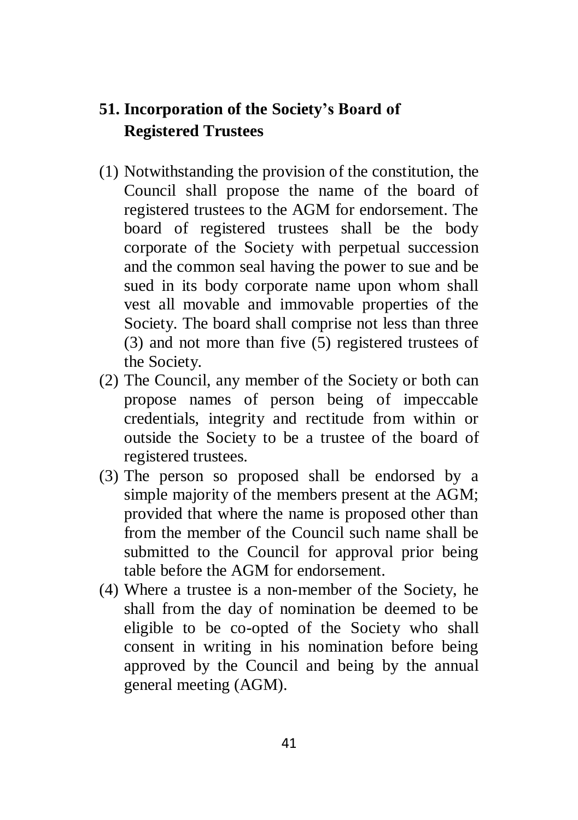## <span id="page-40-0"></span>**51. Incorporation of the Society's Board of Registered Trustees**

- (1) Notwithstanding the provision of the constitution, the Council shall propose the name of the board of registered trustees to the AGM for endorsement. The board of registered trustees shall be the body corporate of the Society with perpetual succession and the common seal having the power to sue and be sued in its body corporate name upon whom shall vest all movable and immovable properties of the Society. The board shall comprise not less than three (3) and not more than five (5) registered trustees of the Society.
- (2) The Council, any member of the Society or both can propose names of person being of impeccable credentials, integrity and rectitude from within or outside the Society to be a trustee of the board of registered trustees.
- (3) The person so proposed shall be endorsed by a simple majority of the members present at the AGM; provided that where the name is proposed other than from the member of the Council such name shall be submitted to the Council for approval prior being table before the AGM for endorsement.
- (4) Where a trustee is a non-member of the Society, he shall from the day of nomination be deemed to be eligible to be co-opted of the Society who shall consent in writing in his nomination before being approved by the Council and being by the annual general meeting (AGM).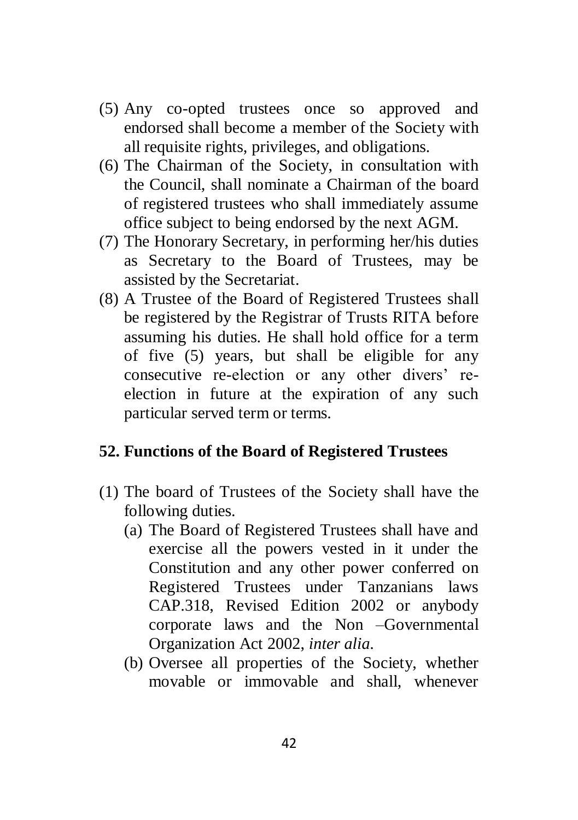- (5) Any co-opted trustees once so approved and endorsed shall become a member of the Society with all requisite rights, privileges, and obligations.
- (6) The Chairman of the Society, in consultation with the Council, shall nominate a Chairman of the board of registered trustees who shall immediately assume office subject to being endorsed by the next AGM.
- (7) The Honorary Secretary, in performing her/his duties as Secretary to the Board of Trustees, may be assisted by the Secretariat.
- (8) A Trustee of the Board of Registered Trustees shall be registered by the Registrar of Trusts RITA before assuming his duties. He shall hold office for a term of five (5) years, but shall be eligible for any consecutive re-election or any other divers' reelection in future at the expiration of any such particular served term or terms.

### <span id="page-41-0"></span>**52. Functions of the Board of Registered Trustees**

- (1) The board of Trustees of the Society shall have the following duties.
	- (a) The Board of Registered Trustees shall have and exercise all the powers vested in it under the Constitution and any other power conferred on Registered Trustees under Tanzanians laws CAP.318, Revised Edition 2002 or anybody corporate laws and the Non –Governmental Organization Act 2002, *inter alia*.
	- (b) Oversee all properties of the Society, whether movable or immovable and shall, whenever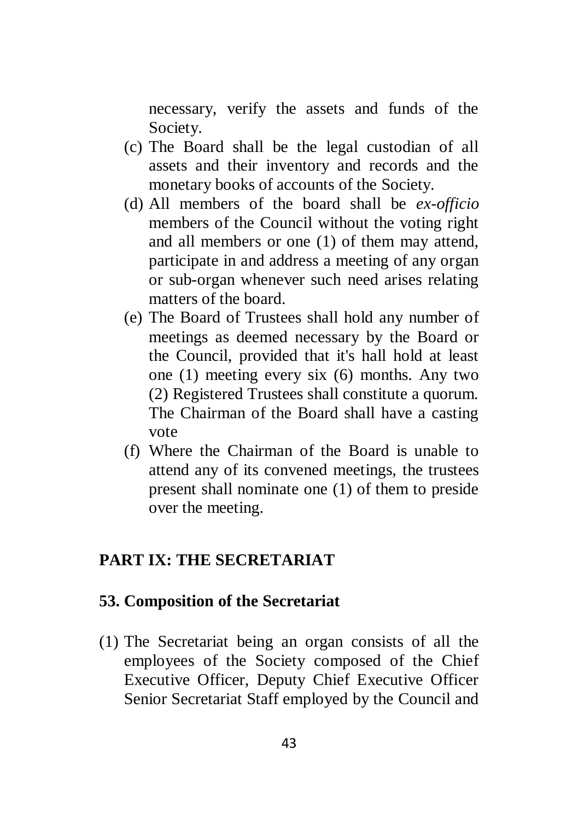necessary, verify the assets and funds of the Society.

- (c) The Board shall be the legal custodian of all assets and their inventory and records and the monetary books of accounts of the Society.
- (d) All members of the board shall be *ex-officio*  members of the Council without the voting right and all members or one (1) of them may attend, participate in and address a meeting of any organ or sub-organ whenever such need arises relating matters of the board.
- (e) The Board of Trustees shall hold any number of meetings as deemed necessary by the Board or the Council, provided that it's hall hold at least one (1) meeting every six (6) months. Any two (2) Registered Trustees shall constitute a quorum. The Chairman of the Board shall have a casting vote
- (f) Where the Chairman of the Board is unable to attend any of its convened meetings, the trustees present shall nominate one (1) of them to preside over the meeting.

## <span id="page-42-0"></span>**PART IX: THE SECRETARIAT**

#### <span id="page-42-1"></span>**53. Composition of the Secretariat**

(1) The Secretariat being an organ consists of all the employees of the Society composed of the Chief Executive Officer, Deputy Chief Executive Officer Senior Secretariat Staff employed by the Council and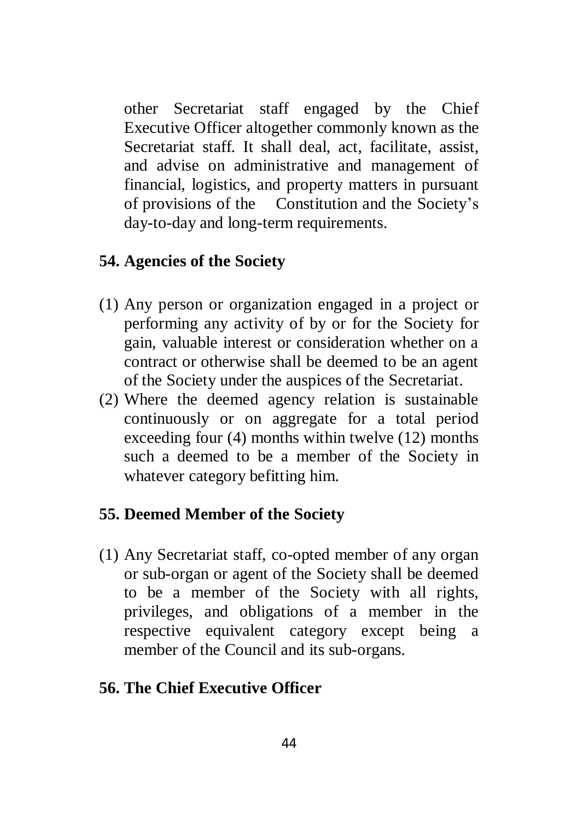other Secretariat staff engaged by the Chief Executive Officer altogether commonly known as the Secretariat staff. It shall deal, act, facilitate, assist, and advise on administrative and management of financial, logistics, and property matters in pursuant of provisions of the Constitution and the Society's day-to-day and long-term requirements.

### <span id="page-43-0"></span>**54. Agencies of the Society**

- (1) Any person or organization engaged in a project or performing any activity of by or for the Society for gain, valuable interest or consideration whether on a contract or otherwise shall be deemed to be an agent of the Society under the auspices of the Secretariat.
- (2) Where the deemed agency relation is sustainable continuously or on aggregate for a total period exceeding four (4) months within twelve (12) months such a deemed to be a member of the Society in whatever category befitting him.

## <span id="page-43-1"></span>**55. Deemed Member of the Society**

(1) Any Secretariat staff, co-opted member of any organ or sub-organ or agent of the Society shall be deemed to be a member of the Society with all rights, privileges, and obligations of a member in the respective equivalent category except being a member of the Council and its sub-organs.

#### <span id="page-43-2"></span>**56. The Chief Executive Officer**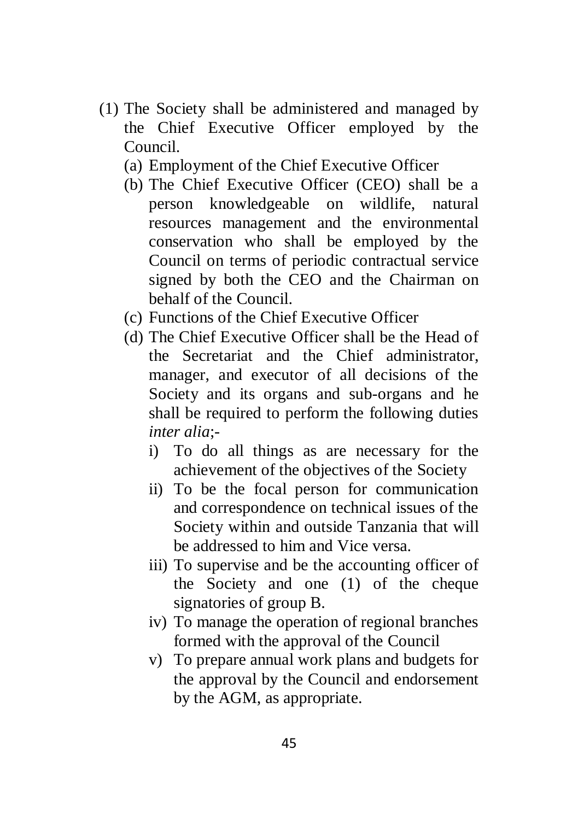- (1) The Society shall be administered and managed by the Chief Executive Officer employed by the Council.
	- (a) Employment of the Chief Executive Officer
	- (b) The Chief Executive Officer (CEO) shall be a person knowledgeable on wildlife, natural resources management and the environmental conservation who shall be employed by the Council on terms of periodic contractual service signed by both the CEO and the Chairman on behalf of the Council.
	- (c) Functions of the Chief Executive Officer
	- (d) The Chief Executive Officer shall be the Head of the Secretariat and the Chief administrator, manager, and executor of all decisions of the Society and its organs and sub-organs and he shall be required to perform the following duties *inter alia*;
		- i) To do all things as are necessary for the achievement of the objectives of the Society
		- ii) To be the focal person for communication and correspondence on technical issues of the Society within and outside Tanzania that will be addressed to him and Vice versa.
		- iii) To supervise and be the accounting officer of the Society and one (1) of the cheque signatories of group B.
		- iv) To manage the operation of regional branches formed with the approval of the Council
		- v) To prepare annual work plans and budgets for the approval by the Council and endorsement by the AGM, as appropriate.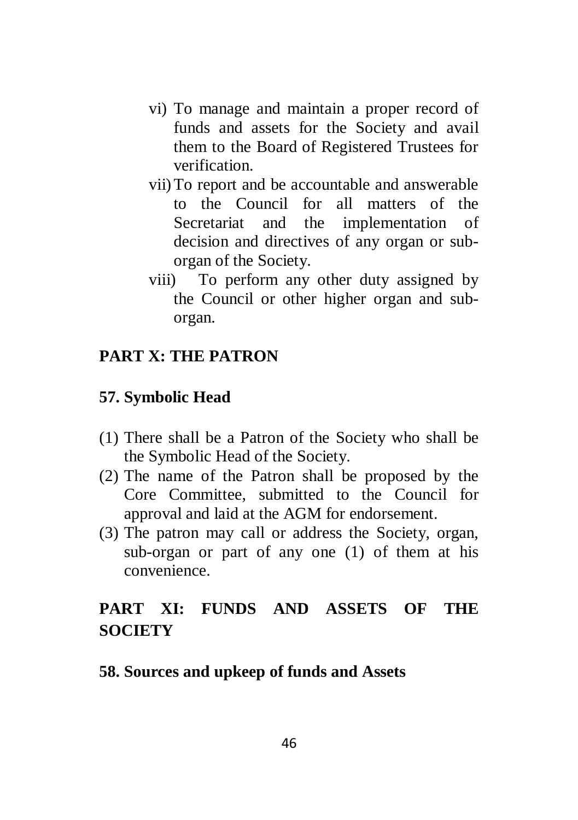- vi) To manage and maintain a proper record of funds and assets for the Society and avail them to the Board of Registered Trustees for verification.
- vii)To report and be accountable and answerable to the Council for all matters of the Secretariat and the implementation of decision and directives of any organ or suborgan of the Society.
- viii) To perform any other duty assigned by the Council or other higher organ and suborgan.

## <span id="page-45-0"></span>**PART X: THE PATRON**

#### <span id="page-45-1"></span>**57. Symbolic Head**

- (1) There shall be a Patron of the Society who shall be the Symbolic Head of the Society.
- (2) The name of the Patron shall be proposed by the Core Committee, submitted to the Council for approval and laid at the AGM for endorsement.
- (3) The patron may call or address the Society, organ, sub-organ or part of any one (1) of them at his convenience.

## <span id="page-45-2"></span>**PART XI: FUNDS AND ASSETS OF THE SOCIETY**

#### <span id="page-45-3"></span>**58. Sources and upkeep of funds and Assets**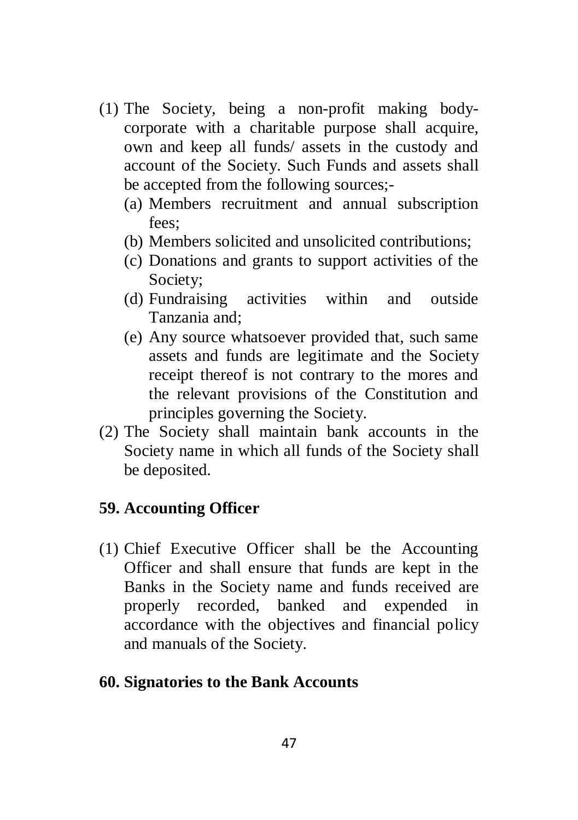- (1) The Society, being a non-profit making bodycorporate with a charitable purpose shall acquire, own and keep all funds/ assets in the custody and account of the Society. Such Funds and assets shall be accepted from the following sources;-
	- (a) Members recruitment and annual subscription fees;
	- (b) Members solicited and unsolicited contributions;
	- (c) Donations and grants to support activities of the Society;
	- (d) Fundraising activities within and outside Tanzania and;
	- (e) Any source whatsoever provided that, such same assets and funds are legitimate and the Society receipt thereof is not contrary to the mores and the relevant provisions of the Constitution and principles governing the Society.
- (2) The Society shall maintain bank accounts in the Society name in which all funds of the Society shall be deposited.

## <span id="page-46-0"></span>**59. Accounting Officer**

- (1) Chief Executive Officer shall be the Accounting Officer and shall ensure that funds are kept in the Banks in the Society name and funds received are properly recorded, banked and expended in accordance with the objectives and financial policy and manuals of the Society.
- <span id="page-46-1"></span>**60. Signatories to the Bank Accounts**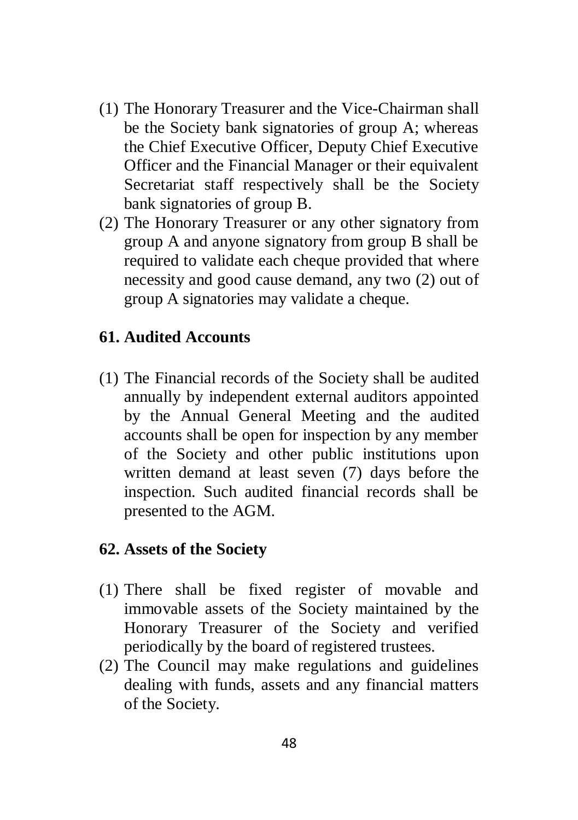- (1) The Honorary Treasurer and the Vice-Chairman shall be the Society bank signatories of group A; whereas the Chief Executive Officer, Deputy Chief Executive Officer and the Financial Manager or their equivalent Secretariat staff respectively shall be the Society bank signatories of group B.
- (2) The Honorary Treasurer or any other signatory from group A and anyone signatory from group B shall be required to validate each cheque provided that where necessity and good cause demand, any two (2) out of group A signatories may validate a cheque.

## <span id="page-47-0"></span>**61. Audited Accounts**

(1) The Financial records of the Society shall be audited annually by independent external auditors appointed by the Annual General Meeting and the audited accounts shall be open for inspection by any member of the Society and other public institutions upon written demand at least seven (7) days before the inspection. Such audited financial records shall be presented to the AGM.

#### <span id="page-47-1"></span>**62. Assets of the Society**

- (1) There shall be fixed register of movable and immovable assets of the Society maintained by the Honorary Treasurer of the Society and verified periodically by the board of registered trustees.
- (2) The Council may make regulations and guidelines dealing with funds, assets and any financial matters of the Society.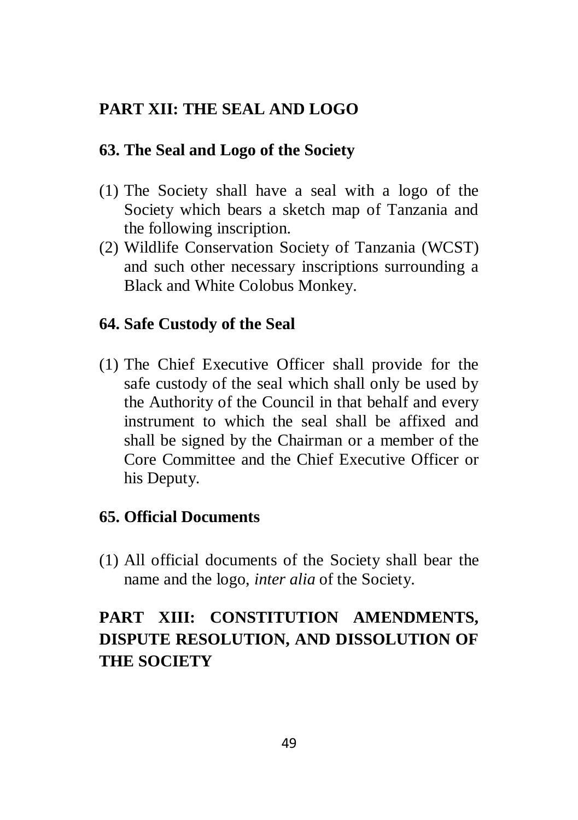## **PART XII: THE SEAL AND LOGO**

## <span id="page-48-1"></span><span id="page-48-0"></span>**63. The Seal and Logo of the Society**

- (1) The Society shall have a seal with a logo of the Society which bears a sketch map of Tanzania and the following inscription.
- (2) Wildlife Conservation Society of Tanzania (WCST) and such other necessary inscriptions surrounding a Black and White Colobus Monkey.

## <span id="page-48-2"></span>**64. Safe Custody of the Seal**

(1) The Chief Executive Officer shall provide for the safe custody of the seal which shall only be used by the Authority of the Council in that behalf and every instrument to which the seal shall be affixed and shall be signed by the Chairman or a member of the Core Committee and the Chief Executive Officer or his Deputy.

## <span id="page-48-3"></span>**65. Official Documents**

(1) All official documents of the Society shall bear the name and the logo, *inter alia* of the Society.

# <span id="page-48-4"></span>**PART XIII: CONSTITUTION AMENDMENTS, DISPUTE RESOLUTION, AND DISSOLUTION OF THE SOCIETY**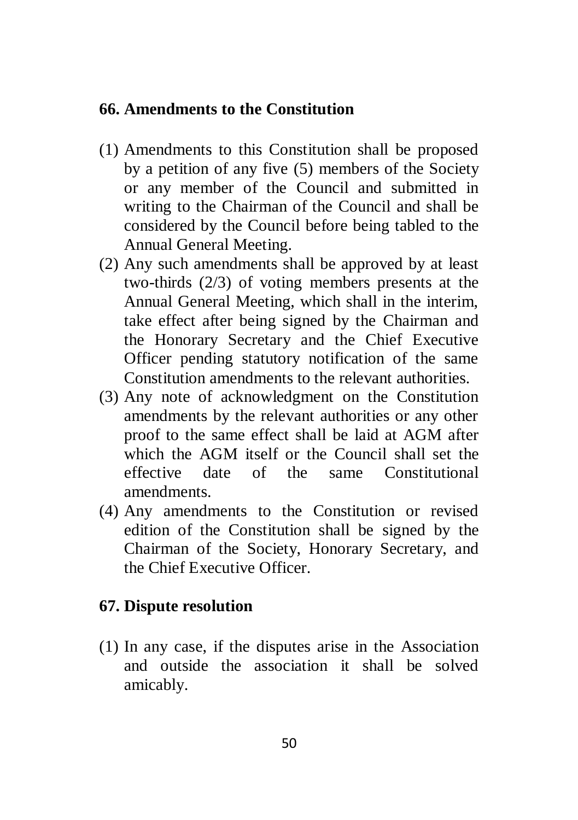#### <span id="page-49-0"></span>**66. Amendments to the Constitution**

- (1) Amendments to this Constitution shall be proposed by a petition of any five (5) members of the Society or any member of the Council and submitted in writing to the Chairman of the Council and shall be considered by the Council before being tabled to the Annual General Meeting.
- (2) Any such amendments shall be approved by at least two-thirds (2/3) of voting members presents at the Annual General Meeting, which shall in the interim, take effect after being signed by the Chairman and the Honorary Secretary and the Chief Executive Officer pending statutory notification of the same Constitution amendments to the relevant authorities.
- (3) Any note of acknowledgment on the Constitution amendments by the relevant authorities or any other proof to the same effect shall be laid at AGM after which the AGM itself or the Council shall set the effective date of the same Constitutional amendments.
- (4) Any amendments to the Constitution or revised edition of the Constitution shall be signed by the Chairman of the Society, Honorary Secretary, and the Chief Executive Officer.

## <span id="page-49-1"></span>**67. Dispute resolution**

(1) In any case, if the disputes arise in the Association and outside the association it shall be solved amicably.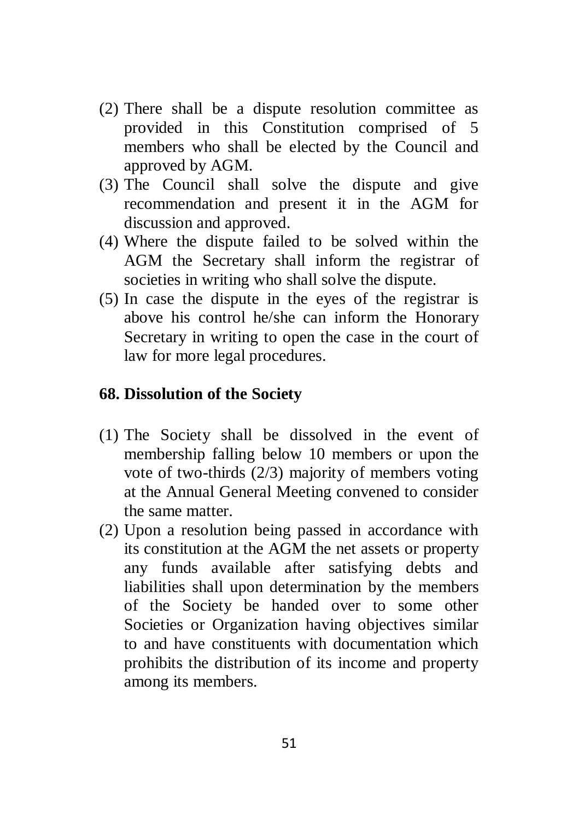- (2) There shall be a dispute resolution committee as provided in this Constitution comprised of 5 members who shall be elected by the Council and approved by AGM.
- (3) The Council shall solve the dispute and give recommendation and present it in the AGM for discussion and approved.
- (4) Where the dispute failed to be solved within the AGM the Secretary shall inform the registrar of societies in writing who shall solve the dispute.
- (5) In case the dispute in the eyes of the registrar is above his control he/she can inform the Honorary Secretary in writing to open the case in the court of law for more legal procedures.

### <span id="page-50-0"></span>**68. Dissolution of the Society**

- (1) The Society shall be dissolved in the event of membership falling below 10 members or upon the vote of two-thirds (2/3) majority of members voting at the Annual General Meeting convened to consider the same matter.
- (2) Upon a resolution being passed in accordance with its constitution at the AGM the net assets or property any funds available after satisfying debts and liabilities shall upon determination by the members of the Society be handed over to some other Societies or Organization having objectives similar to and have constituents with documentation which prohibits the distribution of its income and property among its members.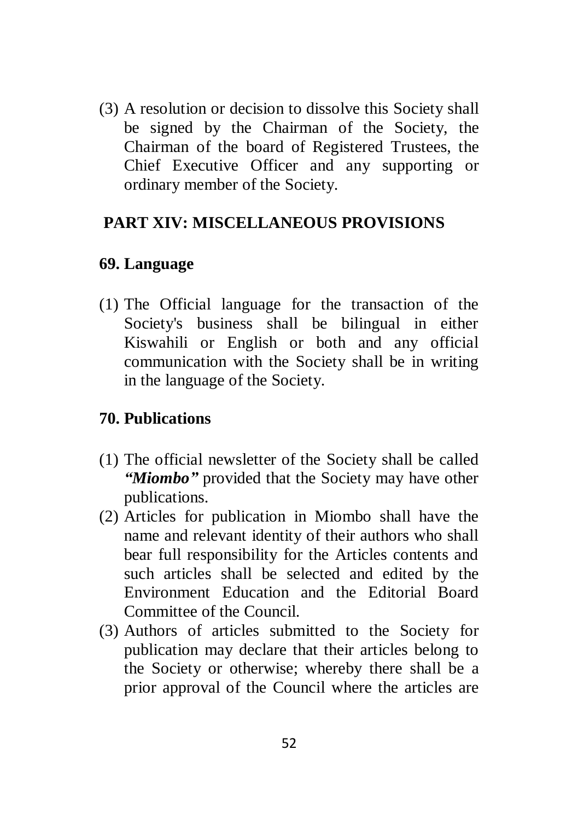(3) A resolution or decision to dissolve this Society shall be signed by the Chairman of the Society, the Chairman of the board of Registered Trustees, the Chief Executive Officer and any supporting or ordinary member of the Society.

## <span id="page-51-0"></span>**PART XIV: MISCELLANEOUS PROVISIONS**

## <span id="page-51-1"></span>**69. Language**

(1) The Official language for the transaction of the Society's business shall be bilingual in either Kiswahili or English or both and any official communication with the Society shall be in writing in the language of the Society.

## <span id="page-51-2"></span>**70. Publications**

- (1) The official newsletter of the Society shall be called *"Miombo"* provided that the Society may have other publications.
- (2) Articles for publication in Miombo shall have the name and relevant identity of their authors who shall bear full responsibility for the Articles contents and such articles shall be selected and edited by the Environment Education and the Editorial Board Committee of the Council.
- (3) Authors of articles submitted to the Society for publication may declare that their articles belong to the Society or otherwise; whereby there shall be a prior approval of the Council where the articles are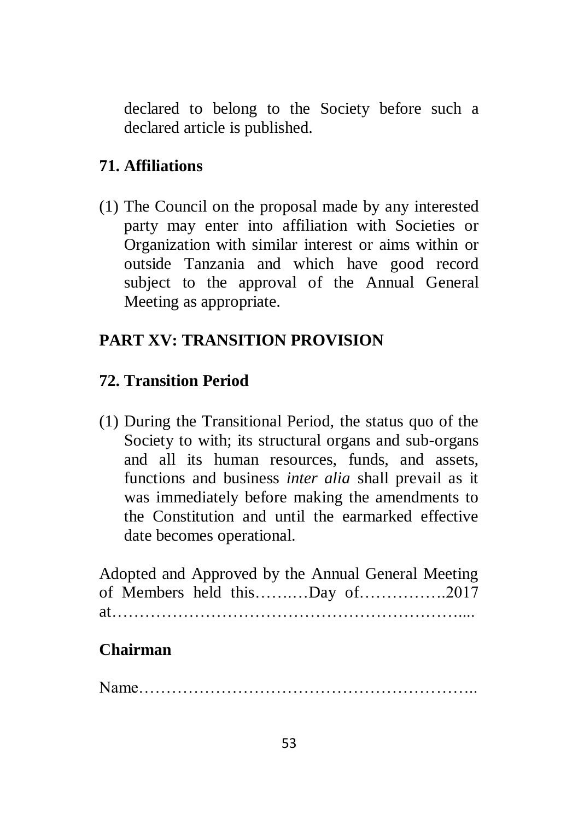declared to belong to the Society before such a declared article is published.

## <span id="page-52-0"></span>**71. Affiliations**

(1) The Council on the proposal made by any interested party may enter into affiliation with Societies or Organization with similar interest or aims within or outside Tanzania and which have good record subject to the approval of the Annual General Meeting as appropriate.

## <span id="page-52-1"></span>**PART XV: TRANSITION PROVISION**

## <span id="page-52-2"></span>**72. Transition Period**

(1) During the Transitional Period, the status quo of the Society to with; its structural organs and sub-organs and all its human resources, funds, and assets, functions and business *inter alia* shall prevail as it was immediately before making the amendments to the Constitution and until the earmarked effective date becomes operational.

Adopted and Approved by the Annual General Meeting of Members held this…….…Day of…………….2017 at extensive and the set of the set of the set of the set of the set of the set of the set of the set of the set of the set of the set of the set of the set of the set of the set of the set of the set of the set of the set

## **Chairman**

Name……………………………………………………..